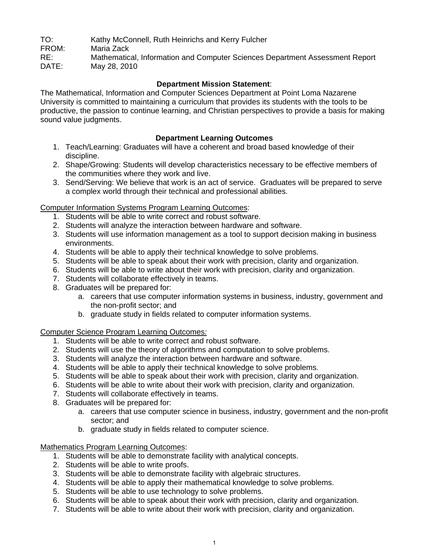TO: Kathy McConnell, Ruth Heinrichs and Kerry Fulcher FROM: Maria Zack RE: Mathematical, Information and Computer Sciences Department Assessment Report<br>DATE: May 28, 2010 May 28, 2010

## **Department Mission Statement**:

The Mathematical, Information and Computer Sciences Department at Point Loma Nazarene University is committed to maintaining a curriculum that provides its students with the tools to be productive, the passion to continue learning, and Christian perspectives to provide a basis for making sound value judgments.

## **Department Learning Outcomes**

- 1. Teach/Learning: Graduates will have a coherent and broad based knowledge of their discipline.
- 2. Shape/Growing: Students will develop characteristics necessary to be effective members of the communities where they work and live.
- 3. Send/Serving: We believe that work is an act of service. Graduates will be prepared to serve a complex world through their technical and professional abilities.

## Computer Information Systems Program Learning Outcomes:

- 1. Students will be able to write correct and robust software.
- 2. Students will analyze the interaction between hardware and software.
- 3. Students will use information management as a tool to support decision making in business environments.
- 4. Students will be able to apply their technical knowledge to solve problems.
- 5. Students will be able to speak about their work with precision, clarity and organization.
- 6. Students will be able to write about their work with precision, clarity and organization.
- 7. Students will collaborate effectively in teams.
- 8. Graduates will be prepared for:
	- a. careers that use computer information systems in business, industry, government and the non-profit sector; and
	- b. graduate study in fields related to computer information systems.

Computer Science Program Learning Outcomes*:*

- 1. Students will be able to write correct and robust software.
- 2. Students will use the theory of algorithms and computation to solve problems.
- 3. Students will analyze the interaction between hardware and software.
- 4. Students will be able to apply their technical knowledge to solve problems.
- 5. Students will be able to speak about their work with precision, clarity and organization.
- 6. Students will be able to write about their work with precision, clarity and organization.
- 7. Students will collaborate effectively in teams.
- 8. Graduates will be prepared for:
	- a. careers that use computer science in business, industry, government and the non-profit sector; and
	- b. graduate study in fields related to computer science.

Mathematics Program Learning Outcomes:

- 1. Students will be able to demonstrate facility with analytical concepts.
- 2. Students will be able to write proofs.
- 3. Students will be able to demonstrate facility with algebraic structures.
- 4. Students will be able to apply their mathematical knowledge to solve problems.
- 5. Students will be able to use technology to solve problems.
- 6. Students will be able to speak about their work with precision, clarity and organization.
- 7. Students will be able to write about their work with precision, clarity and organization.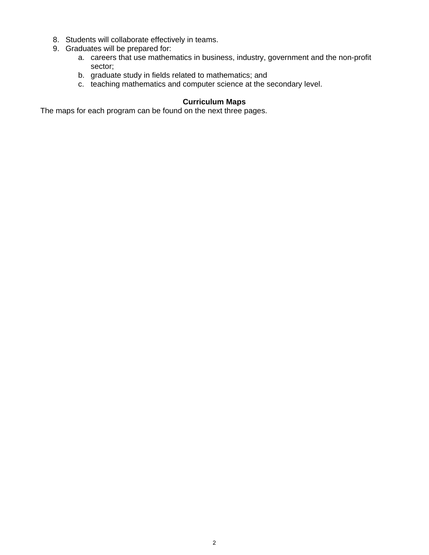- 8. Students will collaborate effectively in teams.
- 9. Graduates will be prepared for:
	- a. careers that use mathematics in business, industry, government and the non-profit sector;
	- b. graduate study in fields related to mathematics; and
	- c. teaching mathematics and computer science at the secondary level.

## **Curriculum Maps**

The maps for each program can be found on the next three pages.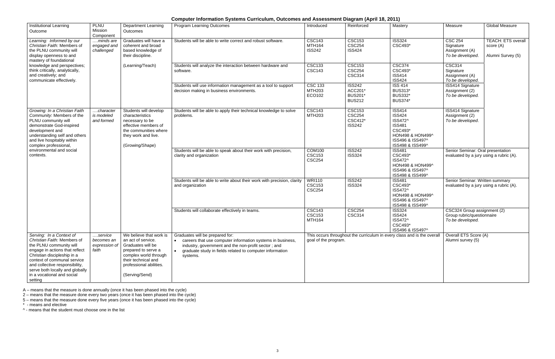## **Computer Information Systems Curriculum, Outcomes and Assessment Diagram (April 18, 2011)**

| <b>Institutional Learning</b>                                                                                                                                                                                                                                                                    | <b>PLNU</b>                                     | <b>Department Learning</b>                                                                                                                                                             | <b>Program Learning Outcomes</b>                                                                                                                                                                                                            | Introduced                                      | .<br>Reinforced                                              | Mastery                                                                                                                           | Measure                                                                       | <b>Global Measure</b>                                       |
|--------------------------------------------------------------------------------------------------------------------------------------------------------------------------------------------------------------------------------------------------------------------------------------------------|-------------------------------------------------|----------------------------------------------------------------------------------------------------------------------------------------------------------------------------------------|---------------------------------------------------------------------------------------------------------------------------------------------------------------------------------------------------------------------------------------------|-------------------------------------------------|--------------------------------------------------------------|-----------------------------------------------------------------------------------------------------------------------------------|-------------------------------------------------------------------------------|-------------------------------------------------------------|
| Outcome                                                                                                                                                                                                                                                                                          | Mission<br>Component                            | Outcomes                                                                                                                                                                               |                                                                                                                                                                                                                                             |                                                 |                                                              |                                                                                                                                   |                                                                               |                                                             |
| Learning: Informed by our<br>Christian Faith: Members of<br>the PLNU community will<br>display openness to and<br>mastery of foundational                                                                                                                                                        | minds are<br>engaged and<br>challenged          | Graduates will have a<br>coherent and broad<br>based knowledge of<br>their discipline.                                                                                                 | Students will be able to write correct and robust software.                                                                                                                                                                                 | <b>CSC143</b><br>MTH164<br><b>ISS242</b>        | <b>CSC153</b><br><b>CSC254</b><br><b>ISS424</b>              | <b>ISS324</b><br>CSC493*                                                                                                          | <b>CSC 254</b><br>Signature<br>Assignment (A)<br>To be developed.             | <b>TEACH: ETS overall</b><br>score (A)<br>Alumni Survey (5) |
| knowledge and perspectives;<br>think critically, analytically,<br>and creatively; and<br>communicate effectively.                                                                                                                                                                                |                                                 | (Learning/Teach)                                                                                                                                                                       | Students will analyze the interaction between hardware and<br>software.                                                                                                                                                                     | <b>CSC133</b><br><b>CSC143</b>                  | <b>CSC153</b><br><b>CSC254</b><br><b>CSC314</b>              | <b>CSC374</b><br>CSC493*<br><b>ISS414</b><br><b>ISS424</b>                                                                        | <b>CSC314</b><br>Signature<br>Assignment (A)<br>To be developed.              |                                                             |
|                                                                                                                                                                                                                                                                                                  |                                                 |                                                                                                                                                                                        | Students will use information management as a tool to support<br>decision making in business environments.                                                                                                                                  | <b>CSC 133</b><br><b>MTH203</b><br>ECO102       | <b>ISS242</b><br>ACC201*<br><b>BUS201</b> *<br><b>BUS212</b> | <b>ISS 414</b><br><b>BUS313*</b><br><b>BUS332*</b><br><b>BUS374</b> *                                                             | <b>ISS414 Signature</b><br>Assignment (2)<br>To be developed.                 |                                                             |
| Growing: In a Christian Faith<br>Community: Members of the<br>PLNU community will<br>demonstrate God-inspired<br>development and<br>understanding self and others<br>and live hospitably within<br>complex professional,                                                                         | character<br>is modeled<br>and formed           | Students will develop<br>characteristics<br>necessary to be<br>effective members of<br>the communities where<br>they work and live.<br>(Growing/Shape)                                 | Students will be able to apply their technical knowledge to solve<br>problems.                                                                                                                                                              | <b>CSC143</b><br><b>MTH203</b>                  | <b>CSC153</b><br><b>CSC254</b><br>CSC412*<br><b>ISS242</b>   | <b>ISS414</b><br><b>ISS424</b><br>ISS472^<br><b>ISS481</b><br>CSC493*<br>HON498 & HON499^<br>ISS496 & ISS497^<br>ISS498 & ISS499^ | <b>ISS414 Signature</b><br>Assignment (2)<br>To be developed.                 |                                                             |
| environmental and social<br>contexts.                                                                                                                                                                                                                                                            |                                                 |                                                                                                                                                                                        | Students will be able to speak about their work with precision,<br>clarity and organization                                                                                                                                                 | <b>COM100</b><br><b>CSC153</b><br><b>CSC254</b> | <b>ISS242</b><br><b>ISS324</b>                               | <b>ISS481</b><br>CSC493*<br>ISS472^<br>HON498 & HON499^<br>ISS496 & ISS497^<br>ISS498 & ISS499^                                   | Senior Seminar: Oral presentation<br>evaluated by a jury using a rubric (A).  |                                                             |
|                                                                                                                                                                                                                                                                                                  |                                                 |                                                                                                                                                                                        | Students will be able to write about their work with precision, clarity<br>and organization                                                                                                                                                 | <b>WRI110</b><br><b>CSC153</b><br><b>CSC254</b> | <b>ISS242</b><br><b>ISS324</b>                               | <b>ISS481</b><br>CSC493*<br>ISS472^<br>HON498 & HON499^<br>ISS496 & ISS497^<br>ISS498 & ISS499^                                   | Senior Seminar: Written summary<br>evaluated by a jury using a rubric (A).    |                                                             |
|                                                                                                                                                                                                                                                                                                  |                                                 |                                                                                                                                                                                        | Students will collaborate effectively in teams.                                                                                                                                                                                             | <b>CSC143</b><br><b>CSC153</b><br><b>MTH164</b> | <b>CSC254</b><br><b>CSC314</b>                               | <b>ISS324</b><br><b>ISS424</b><br>ISS472^<br>CSC493*<br>ISS496 & ISS497^                                                          | CSC324 Group assignment (2)<br>Group rubric/questionnaire<br>To be developed. |                                                             |
| Serving: In a Context of<br>Christian Faith: Members of<br>the PLNU community will<br>engage in actions that reflect<br>Christian discipleship in a<br>context of communal service<br>and collective responsibility,<br>serve both locally and globally<br>in a vocational and social<br>setting | service<br>becomes an<br>expression of<br>faith | We believe that work is<br>an act of service.<br>Graduates will be<br>prepared to serve a<br>complex world through<br>their technical and<br>professional abilities.<br>(Serving/Send) | Graduates will be prepared for:<br>• careers that use computer information systems in business,<br>industry, government and the non-profit sector; and<br>graduate study in fields related to computer information<br>$\bullet$<br>systems. | goal of the program.                            |                                                              | This occurs throughout the curriculum in every class and is the overall                                                           | Overall ETS Score (A)<br>Alumni survey (5)                                    |                                                             |

A – means that the measure is done annually (once it has been phased into the cycle)

2 – means that the measure done every two years (once it has been phased into the cycle)

5 – means that the measure done every five years (once it has been phased into the cycle)

\* - means and elective ^ - means that the student must choose one in the list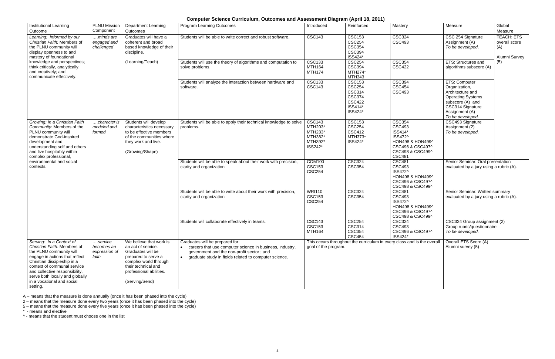## **Computer Science Curriculum, Outcomes and Assessment Diagram (April 18, 2011)**

| Institutional Learning<br>Outcome                                                                                                                                                                                                                                                                 | <b>PLNU Mission</b><br>Component                | <b>Department Learning</b><br>Outcomes                                                                                                                                                 | <b>Program Learning Outcomes</b>                                                                                                                                                                                 | Introduced                                                           | Reinforced                                                                                              | Mastery                                                                                                                           | Measure                                                                                                                                                      | Global<br>Measure                                          |
|---------------------------------------------------------------------------------------------------------------------------------------------------------------------------------------------------------------------------------------------------------------------------------------------------|-------------------------------------------------|----------------------------------------------------------------------------------------------------------------------------------------------------------------------------------------|------------------------------------------------------------------------------------------------------------------------------------------------------------------------------------------------------------------|----------------------------------------------------------------------|---------------------------------------------------------------------------------------------------------|-----------------------------------------------------------------------------------------------------------------------------------|--------------------------------------------------------------------------------------------------------------------------------------------------------------|------------------------------------------------------------|
| Learning: Informed by our<br>Christian Faith: Members of<br>the PLNU community will<br>display openness to and<br>mastery of foundational                                                                                                                                                         | minds are<br>engaged and<br>challenged          | Graduates will have a<br>coherent and broad<br>based knowledge of their<br>discipline.                                                                                                 | Students will be able to write correct and robust software.                                                                                                                                                      | <b>CSC143</b>                                                        | <b>CSC153</b><br><b>CSC254</b><br><b>CSC354</b><br><b>CSC394</b><br>ISS424*                             | <b>CSC324</b><br><b>CSC493</b>                                                                                                    | CSC 254 Signature<br>Assignment (A)<br>To be developed.                                                                                                      | <b>TEACH: ETS</b><br>overall score<br>(A)<br>Alumni Survey |
| knowledge and perspectives;<br>think critically, analytically,<br>and creatively; and<br>communicate effectively.                                                                                                                                                                                 |                                                 | (Learning/Teach)                                                                                                                                                                       | Students will use the theory of algorithms and computation to<br>solve problems.                                                                                                                                 | <b>CSC133</b><br><b>MTH164</b><br><b>MTH174</b>                      | <b>CSC254</b><br><b>CSC394</b><br>MTH274*<br><b>MTH343</b>                                              | <b>CSC354</b><br><b>CSC422</b>                                                                                                    | <b>ETS: Structures and</b><br>algorithms subscore (A)                                                                                                        | (5)                                                        |
|                                                                                                                                                                                                                                                                                                   |                                                 |                                                                                                                                                                                        | Students will analyze the interaction between hardware and<br>software.                                                                                                                                          | <b>CSC133</b><br><b>CSC143</b>                                       | <b>CSC153</b><br><b>CSC254</b><br><b>CSC314</b><br><b>CSC374</b><br><b>CSC422</b><br>ISS414*<br>ISS424* | <b>CSC394</b><br><b>CSC454</b><br><b>CSC493</b>                                                                                   | ETS: Computer<br>Organization,<br>Architecture and<br><b>Operating Systems</b><br>subscore (A) and<br>CSC314 Signature<br>Assignment (A)<br>To be developed. |                                                            |
| Growing: In a Christian Faith<br>Community: Members of the<br>PLNU community will<br>demonstrate God-inspired<br>development and<br>understanding self and others<br>and live hospitably within<br>complex professional                                                                           | character is<br>modeled and<br>formed           | Students will develop<br>characteristics necessary<br>to be effective members<br>of the communities where<br>they work and live.<br>(Growing/Shape)                                    | Students will be able to apply their technical knowledge to solve<br>problems.                                                                                                                                   | <b>CSC143</b><br>MTH203*<br>MTH233*<br>MTH382*<br>MTH392*<br>ISS242* | <b>CSC153</b><br><b>CSC254</b><br><b>CSC412</b><br>MTH373*<br>ISS424*                                   | <b>CSC354</b><br><b>CSC493</b><br>ISS414*<br>ISS472^<br>HON498 & HON499^<br>CSC496 & CSC497^<br>CSC498 & CSC499^<br><b>CSC481</b> | CSC493 Signature<br>Assignment (2)<br>To be developed.                                                                                                       |                                                            |
| environmental and social<br>contexts.                                                                                                                                                                                                                                                             |                                                 |                                                                                                                                                                                        | Students will be able to speak about their work with precision,<br>clarity and organization                                                                                                                      | <b>COM100</b><br><b>CSC153</b><br><b>CSC254</b>                      | <b>CSC324</b><br><b>CSC354</b>                                                                          | <b>CSC481</b><br><b>CSC493</b><br>ISS472^<br>HON498 & HON499^<br>CSC496 & CSC497^<br>CSC498 & CSC499^                             | Senior Seminar: Oral presentation<br>evaluated by a jury using a rubric (A).                                                                                 |                                                            |
|                                                                                                                                                                                                                                                                                                   |                                                 |                                                                                                                                                                                        | Students will be able to write about their work with precision,<br>clarity and organization                                                                                                                      | <b>WRI110</b><br><b>CSC153</b><br><b>CSC254</b>                      | <b>CSC324</b><br><b>CSC354</b>                                                                          | <b>CSC481</b><br><b>CSC493</b><br>ISS472^<br>HON498 & HON499^<br>CSC496 & CSC497^<br>CSC498 & CSC499^                             | Senior Seminar: Written summary<br>evaluated by a jury using a rubric (A).                                                                                   |                                                            |
|                                                                                                                                                                                                                                                                                                   |                                                 |                                                                                                                                                                                        | Students will collaborate effectively in teams.                                                                                                                                                                  | <b>CSC143</b><br>CSC <sub>153</sub><br>MTH164                        | <b>CSC254</b><br>CSC314<br><b>CSC354</b><br><b>CSC454</b>                                               | <b>CSC324</b><br>CSC493<br>CSC496 & CSC497^<br>ISS424*                                                                            | CSC324 Group assignment (2)<br>Group rubric/questionnaire<br>To be developed.                                                                                |                                                            |
| Serving: In a Context of<br>Christian Faith: Members of<br>the PLNU community will<br>engage in actions that reflect<br>Christian discipleship in a<br>context of communal service<br>and collective responsibility,<br>serve both locally and globally<br>in a vocational and social<br>setting. | service<br>becomes an<br>expression of<br>faith | We believe that work is<br>an act of service.<br>Graduates will be<br>prepared to serve a<br>complex world through<br>their technical and<br>professional abilities.<br>(Serving/Send) | Graduates will be prepared for:<br>• careers that use computer science in business, industry,<br>government and the non-profit sector; and<br>graduate study in fields related to computer science.<br>$\bullet$ | goal of the program.                                                 |                                                                                                         | This occurs throughout the curriculum in every class and is the overall                                                           | Overall ETS Score (A)<br>Alumni survey (5)                                                                                                                   |                                                            |

A – means that the measure is done annually (once it has been phased into the cycle)

2 – means that the measure done every two years (once it has been phased into the cycle)

5 – means that the measure done every five years (once it has been phased into the cycle)

\* - means and elective

^ - means that the student must choose one in the list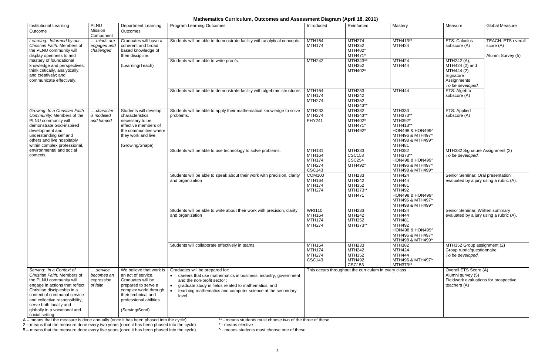## **Mathematics Curriculum, Outcomes and Assessment Diagram (April 18, 2011)**

| <b>Institutional Learning</b><br>Outcome                                                                                                                                                                                                                                       | PLNU<br>Mission<br>Component                    | <b>Department Learning</b><br>Outcomes                                                                                                                                                 | <b>Program Learning Outcomes</b>                                                                                                                                                                                                                                             | Introduced                                                                        | Reinforced                                                                        | Mastery                                                                                                                       | Measure                                                                                             | <b>Global Measure</b>                                       |
|--------------------------------------------------------------------------------------------------------------------------------------------------------------------------------------------------------------------------------------------------------------------------------|-------------------------------------------------|----------------------------------------------------------------------------------------------------------------------------------------------------------------------------------------|------------------------------------------------------------------------------------------------------------------------------------------------------------------------------------------------------------------------------------------------------------------------------|-----------------------------------------------------------------------------------|-----------------------------------------------------------------------------------|-------------------------------------------------------------------------------------------------------------------------------|-----------------------------------------------------------------------------------------------------|-------------------------------------------------------------|
| Learning: Informed by our<br>Christian Faith: Members of<br>the PLNU community will<br>display openness to and                                                                                                                                                                 | minds are<br>engaged and<br>challenged          | Graduates will have a<br>coherent and broad<br>based knowledge of<br>their discipline.                                                                                                 | Students will be able to demonstrate facility with analytical concepts.                                                                                                                                                                                                      | MTH164<br><b>MTH174</b>                                                           | <b>MTH274</b><br><b>MTH352</b><br>MTH402*<br>MTH471*                              | MTH413**<br><b>MTH424</b>                                                                                                     | <b>ETS: Calculus</b><br>subscore (A)                                                                | <b>TEACH: ETS overall</b><br>score (A)<br>Alumni Survey (5) |
| mastery of foundational<br>knowledge and perspectives;<br>think critically, analytically,<br>and creatively; and<br>communicate effectively.                                                                                                                                   |                                                 | (Learning/Teach)                                                                                                                                                                       | Students will be able to write proofs.                                                                                                                                                                                                                                       | <b>MTH242</b>                                                                     | MTH343**<br>MTH352<br>MTH402*                                                     | <b>MTH424</b><br><b>MTH444</b>                                                                                                | MTH242 (A),<br>MTH424 (2) and<br>MTH444 (2)<br>Signature<br>Assignments<br>To be developed.         |                                                             |
|                                                                                                                                                                                                                                                                                |                                                 |                                                                                                                                                                                        | Students will be able to demonstrate facility with algebraic structures.                                                                                                                                                                                                     | <b>MTH164</b><br><b>MTH174</b><br><b>MTH274</b>                                   | <b>MTH233</b><br><b>MTH242</b><br>MTH352<br>MTH343**                              | <b>MTH444</b>                                                                                                                 | ETS: Algebra<br>subscore (A)                                                                        |                                                             |
| Growing: In a Christian Faith<br>Community: Members of the<br>PLNU community will<br>demonstrate God-inspired<br>development and<br>understanding self and<br>others and live hospitably<br>within complex professional,                                                       | character<br>is modeled<br>and formed           | Students will develop<br>characteristics<br>necessary to be<br>effective members of<br>the communities where<br>they work and live.<br>(Growing/Shape)                                 | Students will be able to apply their mathematical knowledge to solve<br>problems.                                                                                                                                                                                            | <b>MTH233</b><br><b>MTH274</b><br><b>PHY241</b>                                   | <b>MTH382</b><br>MTH343**<br>MTH402*<br>MTH471*<br>MTH492*                        | <b>MTH333</b><br>MTH373**<br>MTH392*<br>MTH413**<br>HON498 & HON499^<br>MTH496 & MTH497^<br>MTH498 & MTH499^<br><b>MTH481</b> | ETS: Applied<br>subscore (A)                                                                        |                                                             |
| environmental and social<br>contexts.                                                                                                                                                                                                                                          |                                                 |                                                                                                                                                                                        | Students will be able to use technology to solve problems.                                                                                                                                                                                                                   | <b>MTH131</b><br><b>MTH164</b><br><b>MTH174</b><br><b>MTH274</b><br><b>CSC143</b> | <b>MTH333</b><br><b>CSC153</b><br><b>CSC254</b><br>MTH492*                        | MTH382<br>MTH373**<br>HON498 & HON499^<br>MTH496 & MTH497^<br>MTH498 & MTH499^                                                | MTH382 Signature Assignment (2)<br>To be developed.                                                 |                                                             |
|                                                                                                                                                                                                                                                                                |                                                 |                                                                                                                                                                                        | Students will be able to speak about their work with precision, clarity<br>and organization                                                                                                                                                                                  | <b>COM100</b><br><b>MTH164</b><br><b>MTH174</b><br><b>MTH274</b>                  | MTH233<br><b>MTH242</b><br>MTH352<br>MTH373**<br><b>MTH471</b>                    | <b>MTH424</b><br><b>MTH444</b><br><b>MTH481</b><br>MTH492<br>HON498 & HON499^<br>MTH496 & MTH497^<br>MTH498 & MTH499^         | Senior Seminar: Oral presentation<br>evaluated by a jury using a rubric (A).                        |                                                             |
|                                                                                                                                                                                                                                                                                |                                                 |                                                                                                                                                                                        | Students will be able to write about their work with precision, clarity<br>and organization                                                                                                                                                                                  | <b>WRI110</b><br><b>MTH164</b><br><b>MTH174</b><br><b>MTH274</b>                  | <b>MTH233</b><br><b>MTH242</b><br>MTH352<br>MTH373**                              | <b>MTH424</b><br><b>MTH444</b><br><b>MTH481</b><br>MTH492<br>HON498 & HON499^<br>MTH496 & MTH497^<br>MTH498 & MTH499^         | Senior Seminar: Written summary<br>evaluated by a jury using a rubric (A).                          |                                                             |
|                                                                                                                                                                                                                                                                                |                                                 |                                                                                                                                                                                        | Students will collaborate effectively in teams.                                                                                                                                                                                                                              | MTH164<br><b>MTH174</b><br><b>MTH274</b><br><b>CSC143</b>                         | <b>MTH233</b><br><b>MTH242</b><br><b>MTH352</b><br><b>MTH492</b><br><b>CSC153</b> | <b>MTH382</b><br><b>MTH424</b><br><b>MTH444</b><br>MTH496 & MTH497^<br>MTH373**                                               | MTH352 Group assignment (2)<br>Group rubric/questionnaire<br>To be developed.                       |                                                             |
| Serving: In a Context of<br>Christian Faith: Members of<br>the PLNU community will<br>engage in actions that reflect<br>Christian discipleship in a<br>context of communal service<br>and collective responsibility,<br>serve both locally and<br>globally in a vocational and | service<br>becomes an<br>expression<br>of faith | We believe that work is<br>an act of service.<br>Graduates will be<br>prepared to serve a<br>complex world through<br>their technical and<br>professional abilities.<br>(Serving/Send) | Graduates will be prepared for:<br>careers that use mathematics in business, industry, government<br>$\bullet$<br>and the non-profit sector;<br>graduate study in fields related to mathematics; and<br>teaching mathematics and computer science at the secondary<br>level. |                                                                                   | This occurs throughout the curriculum in every class.                             |                                                                                                                               | Overall ETS Score (A)<br>Alumni survey (5)<br>Fieldwork evaluations for prospective<br>teachers (A) |                                                             |
| social setting.                                                                                                                                                                                                                                                                |                                                 |                                                                                                                                                                                        |                                                                                                                                                                                                                                                                              |                                                                                   |                                                                                   |                                                                                                                               |                                                                                                     |                                                             |

A – means that the measure is done annually (once it has been phased into the cycle) which the extrares students must choose two of the three of these

2 – means that the measure done every two years (once it has been phased into the cycle) \* - means elective

5 – means that the measure done every five years (once it has been phased into the cycle) **A** - means students must choose one of these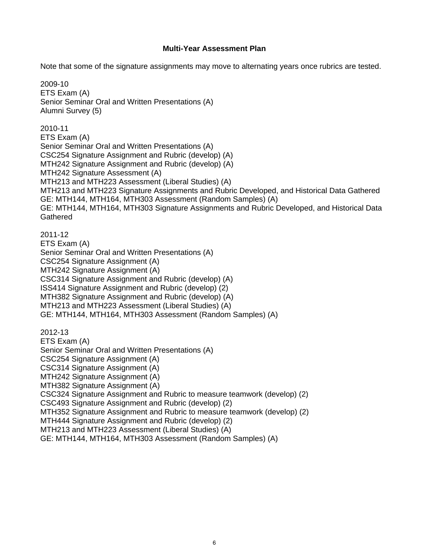#### **Multi-Year Assessment Plan**

Note that some of the signature assignments may move to alternating years once rubrics are tested.

2009-10 ETS Exam (A) Senior Seminar Oral and Written Presentations (A) Alumni Survey (5) 2010-11 ETS Exam (A) Senior Seminar Oral and Written Presentations (A) CSC254 Signature Assignment and Rubric (develop) (A) MTH242 Signature Assignment and Rubric (develop) (A) MTH242 Signature Assessment (A) MTH213 and MTH223 Assessment (Liberal Studies) (A) MTH213 and MTH223 Signature Assignments and Rubric Developed, and Historical Data Gathered GE: MTH144, MTH164, MTH303 Assessment (Random Samples) (A) GE: MTH144, MTH164, MTH303 Signature Assignments and Rubric Developed, and Historical Data **Gathered** 2011-12 ETS Exam (A) Senior Seminar Oral and Written Presentations (A) CSC254 Signature Assignment (A) MTH242 Signature Assignment (A) CSC314 Signature Assignment and Rubric (develop) (A) ISS414 Signature Assignment and Rubric (develop) (2) MTH382 Signature Assignment and Rubric (develop) (A) MTH213 and MTH223 Assessment (Liberal Studies) (A) GE: MTH144, MTH164, MTH303 Assessment (Random Samples) (A) 2012-13 ETS Exam (A) Senior Seminar Oral and Written Presentations (A) CSC254 Signature Assignment (A) CSC314 Signature Assignment (A) MTH242 Signature Assignment (A) MTH382 Signature Assignment (A) CSC324 Signature Assignment and Rubric to measure teamwork (develop) (2) CSC493 Signature Assignment and Rubric (develop) (2) MTH352 Signature Assignment and Rubric to measure teamwork (develop) (2) MTH444 Signature Assignment and Rubric (develop) (2) MTH213 and MTH223 Assessment (Liberal Studies) (A)

GE: MTH144, MTH164, MTH303 Assessment (Random Samples) (A)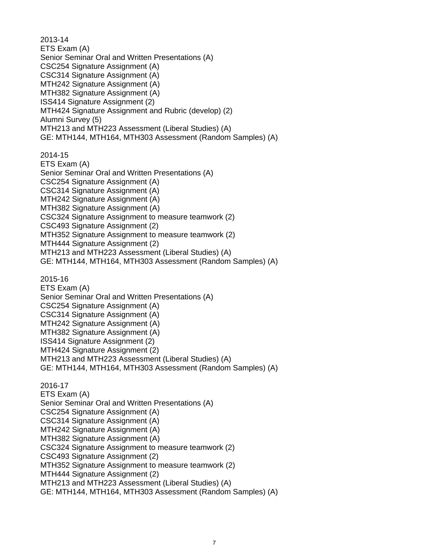2013-14 ETS Exam (A) Senior Seminar Oral and Written Presentations (A) CSC254 Signature Assignment (A) CSC314 Signature Assignment (A) MTH242 Signature Assignment (A) MTH382 Signature Assignment (A) ISS414 Signature Assignment (2) MTH424 Signature Assignment and Rubric (develop) (2) Alumni Survey (5) MTH213 and MTH223 Assessment (Liberal Studies) (A) GE: MTH144, MTH164, MTH303 Assessment (Random Samples) (A) 2014-15 ETS Exam (A) Senior Seminar Oral and Written Presentations (A) CSC254 Signature Assignment (A) CSC314 Signature Assignment (A) MTH242 Signature Assignment (A) MTH382 Signature Assignment (A) CSC324 Signature Assignment to measure teamwork (2) CSC493 Signature Assignment (2) MTH352 Signature Assignment to measure teamwork (2) MTH444 Signature Assignment (2) MTH213 and MTH223 Assessment (Liberal Studies) (A) GE: MTH144, MTH164, MTH303 Assessment (Random Samples) (A) 2015-16 ETS Exam (A) Senior Seminar Oral and Written Presentations (A) CSC254 Signature Assignment (A) CSC314 Signature Assignment (A) MTH242 Signature Assignment (A) MTH382 Signature Assignment (A) ISS414 Signature Assignment (2) MTH424 Signature Assignment (2) MTH213 and MTH223 Assessment (Liberal Studies) (A) GE: MTH144, MTH164, MTH303 Assessment (Random Samples) (A) 2016-17 ETS Exam (A) Senior Seminar Oral and Written Presentations (A) CSC254 Signature Assignment (A) CSC314 Signature Assignment (A) MTH242 Signature Assignment (A) MTH382 Signature Assignment (A) CSC324 Signature Assignment to measure teamwork (2) CSC493 Signature Assignment (2) MTH352 Signature Assignment to measure teamwork (2) MTH444 Signature Assignment (2) MTH213 and MTH223 Assessment (Liberal Studies) (A) GE: MTH144, MTH164, MTH303 Assessment (Random Samples) (A)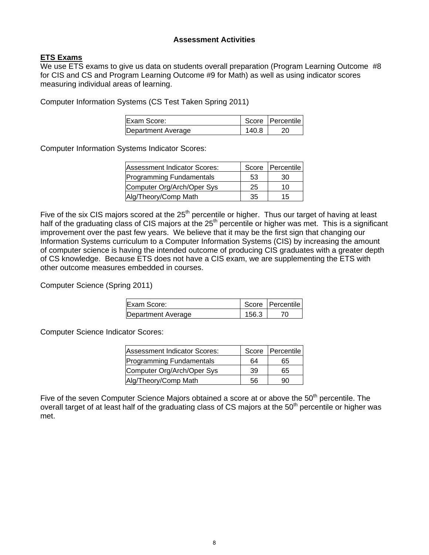#### **Assessment Activities**

## **ETS Exams**

We use ETS exams to give us data on students overall preparation (Program Learning Outcome #8 for CIS and CS and Program Learning Outcome #9 for Math) as well as using indicator scores measuring individual areas of learning.

Computer Information Systems (CS Test Taken Spring 2011)

| Exam Score:        |       | Score   Percentile |
|--------------------|-------|--------------------|
| Department Average | 140.8 |                    |

Computer Information Systems Indicator Scores:

| Assessment Indicator Scores:    |    | Score   Percentile |
|---------------------------------|----|--------------------|
| <b>Programming Fundamentals</b> | 53 | 30                 |
| Computer Org/Arch/Oper Sys      | 25 | 10                 |
| Alg/Theory/Comp Math            | 35 | 15                 |

Five of the six CIS majors scored at the  $25<sup>th</sup>$  percentile or higher. Thus our target of having at least half of the graduating class of CIS majors at the  $25<sup>th</sup>$  percentile or higher was met. This is a significant improvement over the past few years. We believe that it may be the first sign that changing our Information Systems curriculum to a Computer Information Systems (CIS) by increasing the amount of computer science is having the intended outcome of producing CIS graduates with a greater depth of CS knowledge. Because ETS does not have a CIS exam, we are supplementing the ETS with other outcome measures embedded in courses.

Computer Science (Spring 2011)

| <b>IExam Score:</b> |       | Score   Percentile |
|---------------------|-------|--------------------|
| Department Average  | 156.3 |                    |

Computer Science Indicator Scores:

| Assessment Indicator Scores: |    | Score   Percentile |
|------------------------------|----|--------------------|
| Programming Fundamentals     | 64 | 65                 |
| Computer Org/Arch/Oper Sys   | 39 | 65                 |
| Alg/Theory/Comp Math         | 56 | 90                 |

Five of the seven Computer Science Majors obtained a score at or above the  $50<sup>th</sup>$  percentile. The overall target of at least half of the graduating class of CS majors at the 50<sup>th</sup> percentile or higher was met.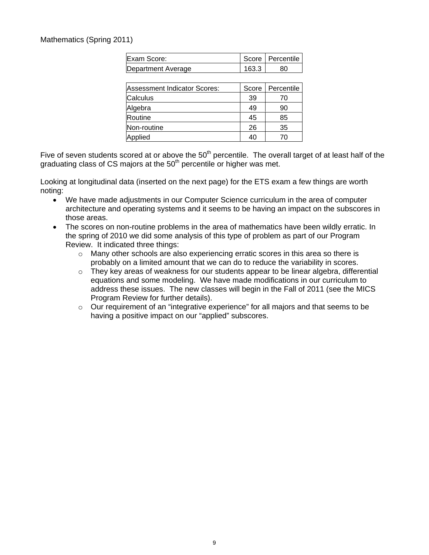#### Mathematics (Spring 2011)

| Exam Score:                  |       | Score   Percentile |
|------------------------------|-------|--------------------|
| Department Average           | 163.3 | 80                 |
|                              |       |                    |
| Assessment Indicator Scores: | Score | Percentile         |
| Calculus                     | 39    | 70                 |
| Algebra                      | 49    | 90                 |
| Routine                      | 45    | 85                 |
| Non-routine                  | 26    | 35                 |
| Applied                      | 40    | 70                 |

Five of seven students scored at or above the 50<sup>th</sup> percentile. The overall target of at least half of the graduating class of CS majors at the  $50<sup>th</sup>$  percentile or higher was met.

Looking at longitudinal data (inserted on the next page) for the ETS exam a few things are worth noting:

- We have made adjustments in our Computer Science curriculum in the area of computer architecture and operating systems and it seems to be having an impact on the subscores in those areas.
- The scores on non-routine problems in the area of mathematics have been wildly erratic. In the spring of 2010 we did some analysis of this type of problem as part of our Program Review. It indicated three things:
	- $\circ$  Many other schools are also experiencing erratic scores in this area so there is probably on a limited amount that we can do to reduce the variability in scores.
	- $\circ$  They key areas of weakness for our students appear to be linear algebra, differential equations and some modeling. We have made modifications in our curriculum to address these issues. The new classes will begin in the Fall of 2011 (see the MICS Program Review for further details).
	- o Our requirement of an "integrative experience" for all majors and that seems to be having a positive impact on our "applied" subscores.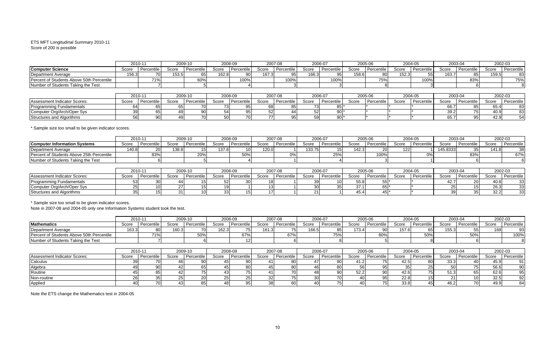#### ETS MFT Longitudinal Summary 2010-11 Score of 200 is possible

|                                                       | 2010-11            |                   |                    | 2009-10         |         | 2008-09         |         | 2007-08           |         | 2006-07    |         | 2005-06    |         | 2004-05    |          | 2003-04    |       | 2002-03    |
|-------------------------------------------------------|--------------------|-------------------|--------------------|-----------------|---------|-----------------|---------|-------------------|---------|------------|---------|------------|---------|------------|----------|------------|-------|------------|
| <b>Computer Science</b>                               | Score              | Percentile        | Score              | Percentile      | Score   | Percentile      | Score   | Percentile        | Score   | Percentile | Score   | Percentile | Score   | Percentile | Score    | Percentile | Score | Percentile |
| Department Average                                    | 156.3              |                   | 153.5              | 65              | 162.8   | 90              | 167.    | 95                | 166.3   | 95         | 158.6   | 80         | 152.3   | 55         | 163.7    | 85         | 159.5 | 83         |
| Percent of Students Above 50th Percentile             |                    | 71%               |                    | 60%             |         | 100%            |         | 100%              |         | 100%       |         | 75%        |         | 100%       |          | 83%        |       | 75%        |
| Number of Students Taking the Test                    |                    |                   |                    |                 |         |                 |         |                   |         |            |         |            |         |            |          |            |       |            |
|                                                       | $2010 - 1$         |                   |                    | 2009-10         |         |                 | 2007-08 |                   |         | 2006-07    |         |            |         | 2004-05    | 2003-04  |            |       | 2002-03    |
|                                                       |                    |                   |                    |                 | 2008-09 |                 |         |                   |         |            | 2005-06 |            |         |            |          |            |       |            |
| <b>Assessment Indicator Scores:</b>                   | Score              | Percentile        | Score              | Percentile      | Score   | Percentile      | Score   | Percentile        | Score   | Percentile | Score   | Percentile | Score   | Percentile | Score    | Percentile | Score | Percentile |
| Programming Fundamentals                              | 64                 | 65                | 65                 | 70 <sup>1</sup> | 73      | 95              | 68      | 85                | 73      | 85         |         |            |         |            | 66.7     | 85         | 65.4  | 83         |
| Computer Org/Arch/Oper Sys                            | 39 <sub>1</sub>    | 65                | 49                 | 90              | 54      | 95              | 52      | 44                | 52      | 90         |         |            |         |            | 39.2     | 75         | 40.9  | 83         |
| Structures and Algorithms                             | 561                | 90                | 49                 | 70              | 50      | <b>70</b>       | 77      | 95                | 59      | 90         |         |            |         |            | 65.7     | 95         | 42.9  | 54         |
| * Sample size too small to be given indicator scores. | $2010 - 1$         |                   |                    | 2009-10         |         | 2008-09         |         | 2007-08           |         | 2006-07    |         | 2005-06    |         | 2004-05    |          | 2003-04    |       | 2002-03    |
| <b>Computer Information Systems</b>                   | Score              | Percentile        | Score              | Percentile      | Score   | Percentile      | Score   | Percentile        | Score   | Percentile | Score   | Percentile | Score   | Percentile | Score    | Percentile | Score | Percentile |
| Department Average                                    | 140.8              | 20                | 138.8              |                 | 137.8   | 10 <sup>1</sup> | 120.0   |                   | 133.75  |            | 142.3   |            | 122     |            | 145.8333 | 35         | 141.8 | 38         |
| Percent of Students Above 25th Percentile             |                    | 83%               |                    | 20%             |         | 50%             |         | 0%                |         | 25%        |         | 100%       |         | 0%         |          | 83%        |       | 67%        |
| Number of Students Taking the Test                    |                    |                   |                    |                 |         |                 |         |                   |         |            |         |            |         |            |          |            |       |            |
|                                                       | 2010-11<br>2009-10 |                   | 2007-08<br>2008-09 |                 |         |                 |         | 2006-07           | 2005-06 |            | 2004-05 |            | 2003-04 |            | 2002-03  |            |       |            |
| Assessment Indicator Scores:                          | Score              | <b>Percentile</b> | Score              | Percentile      | Score   | Percentile      | Score   | <b>Percentile</b> | Score   | Percentile | Score   | Percentile | Score   | Percentile | Score    | Percentile | Score | Percentile |

|                              |       | .<br>$-00000$ |       |            | ---- -- |            | $-00100$ |            | ----  | $-0000$    |              |            | ----- | $-0000$    |       |            | $-00-00$              |                        |
|------------------------------|-------|---------------|-------|------------|---------|------------|----------|------------|-------|------------|--------------|------------|-------|------------|-------|------------|-----------------------|------------------------|
| Assessment Indicator Scores: | Score | Percentile    | Score | Percentile | Score   | Percentile | Score    | Percentile | Score | Percentile | Score        | Percentile | Score | Percentile | Scorr | 'ercentile | Score                 | ~Percent~<br>៴៲៴៴៲៲៶៲៲ |
| rogramming Fundamentals      |       |               |       |            |         |            |          |            |       |            | -- -<br>55.8 |            |       |            |       |            | 40.8                  |                        |
| Computer Org/Arch/Oper Sys   |       |               |       |            |         |            |          |            |       |            |              |            |       |            |       |            | 26.3                  |                        |
| uctures and Algorithms       |       |               |       |            |         |            |          |            |       |            | +0.4         |            |       |            |       |            | $\sim$ $\sim$<br>32.2 |                        |

\* Sample size too small to be given indicator scores.

Note in 2007-08 and 2004-05 only one Information Systems student took the test.

|                                           | 2010-1<br>2009-10 |           | 2008-09 |            | 2007-08 |            | 2006-07 |            | 2005-06 |            |       | 2004-05    |       | 2003-04<br>2002-03 |       |            |       |            |
|-------------------------------------------|-------------------|-----------|---------|------------|---------|------------|---------|------------|---------|------------|-------|------------|-------|--------------------|-------|------------|-------|------------|
| <b>Mathematics</b>                        | Score             | ≀rcentile | Score   | Percentile | Score   | Percentile | Score   | Percentile | Score   | Percentile | Score | Percentile | Score | Percentile         | Score | Percentile | Score | Percentile |
| Department Average                        | 163.              |           | 160.    |            | 162.3   |            | 161.3   |            | 166.    |            | 470   |            | 157.  |                    | 155.3 |            | 4C    | 93         |
| Percent of Students Above 50th Percentile |                   | 71%       |         | 50%        |         | 67%        |         | 67°        |         | 75%        |       | , טע       |       | 50%                |       |            |       | 100%       |
| Number of Students Taking the Test        |                   |           |         |            |         |            |         |            |         |            |       |            |       |                    |       |            |       |            |

|                              | 2010-11 |            | 2009-10 |            | 2008-09 |            | 2007-08 |            | 2006-07 |            | 2005-06     |            | 2004-05 |            | 2003-04 |            | 2002-03 |            |
|------------------------------|---------|------------|---------|------------|---------|------------|---------|------------|---------|------------|-------------|------------|---------|------------|---------|------------|---------|------------|
| Assessment Indicator Scores: | Score   | Percentile | Score   | Percentile | Score   | Percentile | Score   | Percentile | Score   | Percentile | Score       | Percentile | Score   | Percentile | Score   | Percentile | Score   | Percentile |
| Calculus                     |         |            |         |            |         |            |         |            |         | 90 I       |             |            | 42.5    | 80         | 33.3    |            | 45.9    |            |
| Algebra                      |         |            |         |            |         |            |         |            |         | 801        |             |            |         |            |         |            | 56.6    | 90         |
| Routine                      |         |            |         |            |         |            |         |            |         | 90         | En.<br>ے.ےں |            | 42.6    |            | ◡ ៲ ៶៶  |            | 62.6    | 95         |
| Non-routine                  |         |            |         |            |         |            |         |            |         |            |             |            | 22.8    |            |         |            | 32.5    | 92         |
| Applied                      |         |            |         |            |         |            |         |            |         |            |             |            | 33.8    |            | 46.     |            | 49.9    | 84         |

Note the ETS change the Mathematics test in 2004-05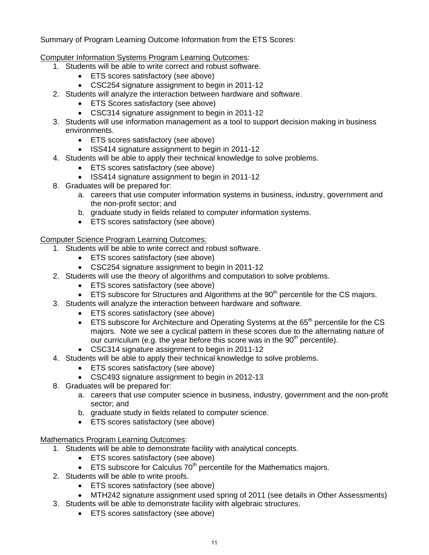Summary of Program Learning Outcome Information from the ETS Scores:

Computer Information Systems Program Learning Outcomes:

- 1. Students will be able to write correct and robust software.
	- ETS scores satisfactory (see above)
	- CSC254 signature assignment to begin in 2011-12
- 2. Students will analyze the interaction between hardware and software.
	- ETS Scores satisfactory (see above)
	- CSC314 signature assignment to begin in 2011-12
- 3. Students will use information management as a tool to support decision making in business environments.
	- **ETS** scores satisfactory (see above)
	- ISS414 signature assignment to begin in 2011-12
- 4. Students will be able to apply their technical knowledge to solve problems.
	- ETS scores satisfactory (see above)
	- ISS414 signature assignment to begin in 2011-12
- 8. Graduates will be prepared for:
	- a. careers that use computer information systems in business, industry, government and the non-profit sector; and
	- b. graduate study in fields related to computer information systems.
	- ETS scores satisfactory (see above)

Computer Science Program Learning Outcomes*:*

- 1. Students will be able to write correct and robust software.
	- ETS scores satisfactory (see above)
	- CSC254 signature assignment to begin in 2011-12
- 2. Students will use the theory of algorithms and computation to solve problems.
	- ETS scores satisfactory (see above)
	- **ETS** subscore for Structures and Algorithms at the  $90<sup>th</sup>$  percentile for the CS majors.
- 3. Students will analyze the interaction between hardware and software.
	- ETS scores satisfactory (see above)
	- **ETS** subscore for Architecture and Operating Systems at the  $65<sup>th</sup>$  percentile for the CS majors. Note we see a cyclical pattern in these scores due to the alternating nature of our curriculum (e.g. the year before this score was in the  $90<sup>th</sup>$  percentile).
	- CSC314 signature assignment to begin in 2011-12
- 4. Students will be able to apply their technical knowledge to solve problems.
	- ETS scores satisfactory (see above)
	- CSC493 signature assignment to begin in 2012-13
- 8. Graduates will be prepared for:
	- a. careers that use computer science in business, industry, government and the non-profit sector; and
	- b. graduate study in fields related to computer science.
	- **ETS** scores satisfactory (see above)

Mathematics Program Learning Outcomes:

- 1. Students will be able to demonstrate facility with analytical concepts.
	- ETS scores satisfactory (see above)
	- **ETS** subscore for Calculus  $70<sup>th</sup>$  percentile for the Mathematics majors.
- 2. Students will be able to write proofs.
	- ETS scores satisfactory (see above)
- MTH242 signature assignment used spring of 2011 (see details in Other Assessments)
- 3. Students will be able to demonstrate facility with algebraic structures.
	- ETS scores satisfactory (see above)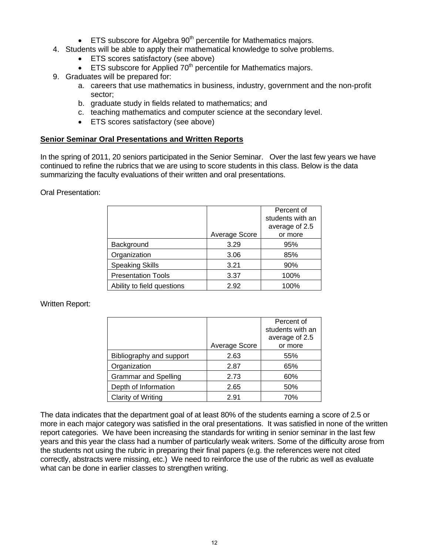- **ETS** subscore for Algebra  $90<sup>th</sup>$  percentile for Mathematics majors.
- 4. Students will be able to apply their mathematical knowledge to solve problems.
	- ETS scores satisfactory (see above)
	- **ETS** subscore for Applied  $70<sup>th</sup>$  percentile for Mathematics majors.
- 9. Graduates will be prepared for:
	- a. careers that use mathematics in business, industry, government and the non-profit sector;
	- b. graduate study in fields related to mathematics; and
	- c. teaching mathematics and computer science at the secondary level.
	- ETS scores satisfactory (see above)

#### **Senior Seminar Oral Presentations and Written Reports**

In the spring of 2011, 20 seniors participated in the Senior Seminar. Over the last few years we have continued to refine the rubrics that we are using to score students in this class. Below is the data summarizing the faculty evaluations of their written and oral presentations.

Oral Presentation:

|                            |               | Percent of       |
|----------------------------|---------------|------------------|
|                            |               | students with an |
|                            |               | average of 2.5   |
|                            | Average Score | or more          |
| Background                 | 3.29          | 95%              |
| Organization               | 3.06          | 85%              |
| <b>Speaking Skills</b>     | 3.21          | 90%              |
| <b>Presentation Tools</b>  | 3.37          | 100%             |
| Ability to field questions | 2.92          | 100%             |

#### Written Report:

|                             |               | Percent of<br>students with an |
|-----------------------------|---------------|--------------------------------|
|                             |               | average of 2.5                 |
|                             | Average Score | or more                        |
| Bibliography and support    | 2.63          | 55%                            |
| Organization                | 2.87          | 65%                            |
| <b>Grammar and Spelling</b> | 2.73          | 60%                            |
| Depth of Information        | 2.65          | 50%                            |
| Clarity of Writing          | 2.91          | 70%                            |

The data indicates that the department goal of at least 80% of the students earning a score of 2.5 or more in each major category was satisfied in the oral presentations. It was satisfied in none of the written report categories. We have been increasing the standards for writing in senior seminar in the last few years and this year the class had a number of particularly weak writers. Some of the difficulty arose from the students not using the rubric in preparing their final papers (e.g. the references were not cited correctly, abstracts were missing, etc.) We need to reinforce the use of the rubric as well as evaluate what can be done in earlier classes to strengthen writing.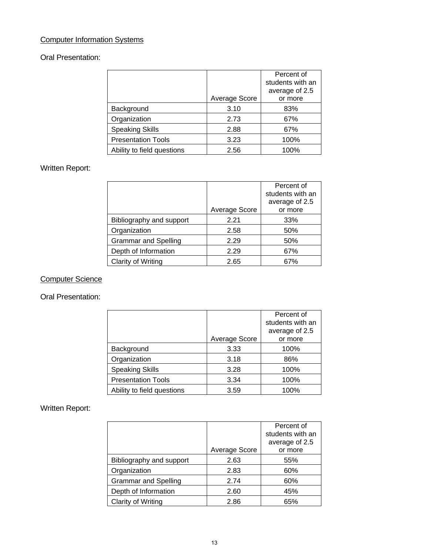## Computer Information Systems

## Oral Presentation:

|                            |               | Percent of       |
|----------------------------|---------------|------------------|
|                            |               | students with an |
|                            |               | average of 2.5   |
|                            | Average Score | or more          |
| Background                 | 3.10          | 83%              |
| Organization               | 2.73          | 67%              |
| <b>Speaking Skills</b>     | 2.88          | 67%              |
| <b>Presentation Tools</b>  | 3.23          | 100%             |
| Ability to field questions | 2.56          | 100%             |

## Written Report:

|                             |               | Percent of<br>students with an<br>average of 2.5 |
|-----------------------------|---------------|--------------------------------------------------|
|                             | Average Score | or more                                          |
| Bibliography and support    | 2.21          | 33%                                              |
| Organization                | 2.58          | 50%                                              |
| <b>Grammar and Spelling</b> | 2.29          | 50%                                              |
| Depth of Information        | 2.29          | 67%                                              |
| <b>Clarity of Writing</b>   | 2.65          | 67%                                              |

## Computer Science

Oral Presentation:

|                            |               | Percent of       |
|----------------------------|---------------|------------------|
|                            |               | students with an |
|                            |               | average of 2.5   |
|                            | Average Score | or more          |
| Background                 | 3.33          | 100%             |
| Organization               | 3.18          | 86%              |
| <b>Speaking Skills</b>     | 3.28          | 100%             |
| <b>Presentation Tools</b>  | 3.34          | 100%             |
| Ability to field questions | 3.59          | 100%             |

## Written Report:

|                             |               | Percent of<br>students with an<br>average of 2.5 |
|-----------------------------|---------------|--------------------------------------------------|
|                             | Average Score | or more                                          |
| Bibliography and support    | 2.63          | 55%                                              |
| Organization                | 2.83          | 60%                                              |
| <b>Grammar and Spelling</b> | 2.74          | 60%                                              |
| Depth of Information        | 2.60          | 45%                                              |
| Clarity of Writing          | 2.86          | 65%                                              |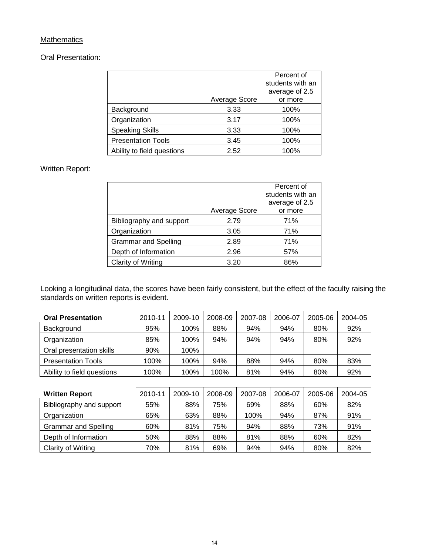## **Mathematics**

Oral Presentation:

|                            |               | Percent of       |
|----------------------------|---------------|------------------|
|                            |               | students with an |
|                            |               | average of 2.5   |
|                            | Average Score | or more          |
| Background                 | 3.33          | 100%             |
| Organization               | 3.17          | 100%             |
| <b>Speaking Skills</b>     | 3.33          | 100%             |
| <b>Presentation Tools</b>  | 3.45          | 100%             |
| Ability to field questions | 2.52          | 100%             |

## Written Report:

|                             |               | Percent of<br>students with an<br>average of 2.5 |
|-----------------------------|---------------|--------------------------------------------------|
|                             | Average Score | or more                                          |
| Bibliography and support    | 2.79          | 71%                                              |
| Organization                | 3.05          | 71%                                              |
| <b>Grammar and Spelling</b> | 2.89          | 71%                                              |
| Depth of Information        | 2.96          | 57%                                              |
| Clarity of Writing          | 3.20          | 86%                                              |

Looking a longitudinal data, the scores have been fairly consistent, but the effect of the faculty raising the standards on written reports is evident.

| <b>Oral Presentation</b>   | 2010-11 | 2009-10 | 2008-09 | 2007-08 | 2006-07 | 2005-06 | 2004-05 |
|----------------------------|---------|---------|---------|---------|---------|---------|---------|
| Background                 | 95%     | 100%    | 88%     | 94%     | 94%     | 80%     | 92%     |
| Organization               | 85%     | 100%    | 94%     | 94%     | 94%     | 80%     | 92%     |
| Oral presentation skills   | 90%     | 100%    |         |         |         |         |         |
| <b>Presentation Tools</b>  | 100%    | 100%    | 94%     | 88%     | 94%     | 80%     | 83%     |
| Ability to field questions | 100%    | 100%    | 100%    | 81%     | 94%     | 80%     | 92%     |

| <b>Written Report</b>       | 2010-11 | 2009-10 | 2008-09 | 2007-08 | 2006-07 | 2005-06 | 2004-05 |
|-----------------------------|---------|---------|---------|---------|---------|---------|---------|
| Bibliography and support    | 55%     | 88%     | 75%     | 69%     | 88%     | 60%     | 82%     |
| Organization                | 65%     | 63%     | 88%     | 100%    | 94%     | 87%     | 91%     |
| <b>Grammar and Spelling</b> | 60%     | 81%     | 75%     | 94%     | 88%     | 73%     | 91%     |
| Depth of Information        | 50%     | 88%     | 88%     | 81%     | 88%     | 60%     | 82%     |
| Clarity of Writing          | 70%     | 81%     | 69%     | 94%     | 94%     | 80%     | 82%     |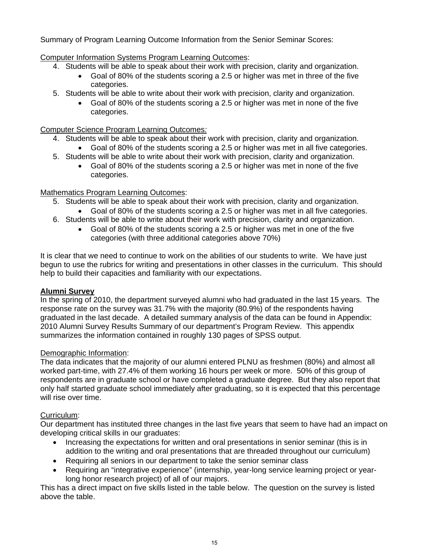Summary of Program Learning Outcome Information from the Senior Seminar Scores:

Computer Information Systems Program Learning Outcomes:

- 4. Students will be able to speak about their work with precision, clarity and organization.
	- Goal of 80% of the students scoring a 2.5 or higher was met in three of the five categories.
- 5. Students will be able to write about their work with precision, clarity and organization.
	- Goal of 80% of the students scoring a 2.5 or higher was met in none of the five categories.

## Computer Science Program Learning Outcomes*:*

- 4. Students will be able to speak about their work with precision, clarity and organization.
	- Goal of 80% of the students scoring a 2.5 or higher was met in all five categories.
- 5. Students will be able to write about their work with precision, clarity and organization.
	- Goal of 80% of the students scoring a 2.5 or higher was met in none of the five categories.

## Mathematics Program Learning Outcomes:

- 5. Students will be able to speak about their work with precision, clarity and organization.
	- Goal of 80% of the students scoring a 2.5 or higher was met in all five categories.
- 6. Students will be able to write about their work with precision, clarity and organization.
	- Goal of 80% of the students scoring a 2.5 or higher was met in one of the five categories (with three additional categories above 70%)

It is clear that we need to continue to work on the abilities of our students to write. We have just begun to use the rubrics for writing and presentations in other classes in the curriculum. This should help to build their capacities and familiarity with our expectations.

#### **Alumni Survey**

In the spring of 2010, the department surveyed alumni who had graduated in the last 15 years. The response rate on the survey was 31.7% with the majority (80.9%) of the respondents having graduated in the last decade. A detailed summary analysis of the data can be found in Appendix: 2010 Alumni Survey Results Summary of our department's Program Review. This appendix summarizes the information contained in roughly 130 pages of SPSS output.

#### Demographic Information:

The data indicates that the majority of our alumni entered PLNU as freshmen (80%) and almost all worked part-time, with 27.4% of them working 16 hours per week or more. 50% of this group of respondents are in graduate school or have completed a graduate degree. But they also report that only half started graduate school immediately after graduating, so it is expected that this percentage will rise over time.

## Curriculum:

Our department has instituted three changes in the last five years that seem to have had an impact on developing critical skills in our graduates:

- Increasing the expectations for written and oral presentations in senior seminar (this is in addition to the writing and oral presentations that are threaded throughout our curriculum)
- Requiring all seniors in our department to take the senior seminar class
- Requiring an "integrative experience" (internship, year-long service learning project or yearlong honor research project) of all of our majors.

This has a direct impact on five skills listed in the table below. The question on the survey is listed above the table.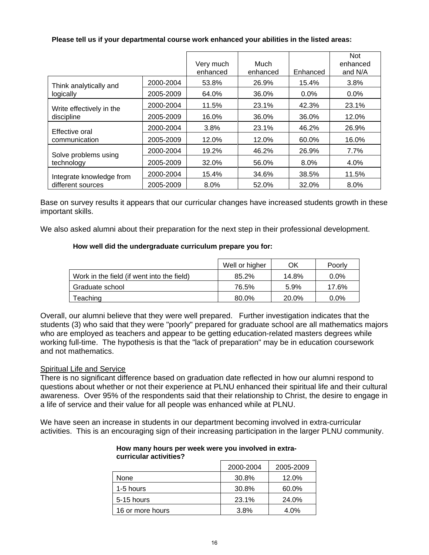|                          |           | Very much<br>enhanced | Much<br>enhanced | Enhanced | <b>Not</b><br>enhanced<br>and N/A |
|--------------------------|-----------|-----------------------|------------------|----------|-----------------------------------|
| Think analytically and   | 2000-2004 | 53.8%                 | 26.9%            | 15.4%    | 3.8%                              |
| logically                | 2005-2009 | 64.0%                 | 36.0%            | $0.0\%$  | $0.0\%$                           |
| Write effectively in the | 2000-2004 | 11.5%                 | 23.1%            | 42.3%    | 23.1%                             |
| discipline               | 2005-2009 | 16.0%                 | 36.0%            | 36.0%    | 12.0%                             |
| Effective oral           | 2000-2004 | 3.8%                  | 23.1%            | 46.2%    | 26.9%                             |
| communication            | 2005-2009 | 12.0%                 | 12.0%            | 60.0%    | 16.0%                             |
| Solve problems using     | 2000-2004 | 19.2%                 | 46.2%            | 26.9%    | 7.7%                              |
| technology               | 2005-2009 | 32.0%                 | 56.0%            | 8.0%     | 4.0%                              |
| Integrate knowledge from | 2000-2004 | 15.4%                 | 34.6%            | 38.5%    | 11.5%                             |
| different sources        | 2005-2009 | 8.0%                  | 52.0%            | 32.0%    | 8.0%                              |

#### **Please tell us if your departmental course work enhanced your abilities in the listed areas:**

Base on survey results it appears that our curricular changes have increased students growth in these important skills.

We also asked alumni about their preparation for the next step in their professional development.

#### **How well did the undergraduate curriculum prepare you for:**

|                                            | Well or higher | ΟK    | Poorly  |
|--------------------------------------------|----------------|-------|---------|
| Work in the field (if went into the field) | 85.2%          | 14.8% | $0.0\%$ |
| Graduate school                            | 76.5%          | 5.9%  | 17.6%   |
| Teaching                                   | 80.0%          | 20.0% | $0.0\%$ |

Overall, our alumni believe that they were well prepared. Further investigation indicates that the students (3) who said that they were "poorly" prepared for graduate school are all mathematics majors who are employed as teachers and appear to be getting education-related masters degrees while working full-time. The hypothesis is that the "lack of preparation" may be in education coursework and not mathematics.

#### **Spiritual Life and Service**

There is no significant difference based on graduation date reflected in how our alumni respond to questions about whether or not their experience at PLNU enhanced their spiritual life and their cultural awareness. Over 95% of the respondents said that their relationship to Christ, the desire to engage in a life of service and their value for all people was enhanced while at PLNU.

We have seen an increase in students in our department becoming involved in extra-curricular activities. This is an encouraging sign of their increasing participation in the larger PLNU community.

## 2000-2004 2005-2009 None 12.0% 30.8% 12.0% 1-5 hours 1.5 and 1.5 hours 1.5 and 1.5 and 1.5 and 1.5 and 1.6 and 1.7 and 1.7 and 1.8 and 1.8 and 1.8 and 1. 5-15 hours 23.1% 24.0% 16 or more hours 1 3.8% 1 4.0%

#### **How many hours per week were you involved in extracurricular activities?**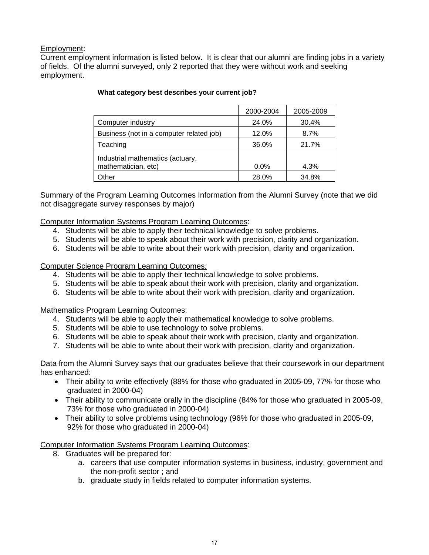## Employment:

Current employment information is listed below. It is clear that our alumni are finding jobs in a variety of fields. Of the alumni surveyed, only 2 reported that they were without work and seeking employment.

|                                                         | 2000-2004 | 2005-2009 |
|---------------------------------------------------------|-----------|-----------|
| Computer industry                                       | 24.0%     | 30.4%     |
| Business (not in a computer related job)                | 12.0%     | 8.7%      |
| Teaching                                                | 36.0%     | 21.7%     |
| Industrial mathematics (actuary,<br>mathematician, etc) | $0.0\%$   | 4.3%      |
| )ther                                                   | 28.0%     | 34.8%     |

#### **What category best describes your current job?**

Summary of the Program Learning Outcomes Information from the Alumni Survey (note that we did not disaggregate survey responses by major)

#### Computer Information Systems Program Learning Outcomes:

- 4. Students will be able to apply their technical knowledge to solve problems.
- 5. Students will be able to speak about their work with precision, clarity and organization.
- 6. Students will be able to write about their work with precision, clarity and organization.

#### Computer Science Program Learning Outcomes*:*

- 4. Students will be able to apply their technical knowledge to solve problems.
- 5. Students will be able to speak about their work with precision, clarity and organization.
- 6. Students will be able to write about their work with precision, clarity and organization.

#### Mathematics Program Learning Outcomes:

- 4. Students will be able to apply their mathematical knowledge to solve problems.
- 5. Students will be able to use technology to solve problems.
- 6. Students will be able to speak about their work with precision, clarity and organization.
- 7. Students will be able to write about their work with precision, clarity and organization.

Data from the Alumni Survey says that our graduates believe that their coursework in our department has enhanced:

- Their ability to write effectively (88% for those who graduated in 2005-09, 77% for those who graduated in 2000-04)
- Their ability to communicate orally in the discipline (84% for those who graduated in 2005-09, 73% for those who graduated in 2000-04)
- Their ability to solve problems using technology (96% for those who graduated in 2005-09, 92% for those who graduated in 2000-04)

#### Computer Information Systems Program Learning Outcomes:

- 8. Graduates will be prepared for:
	- a. careers that use computer information systems in business, industry, government and the non-profit sector ; and
	- b. graduate study in fields related to computer information systems.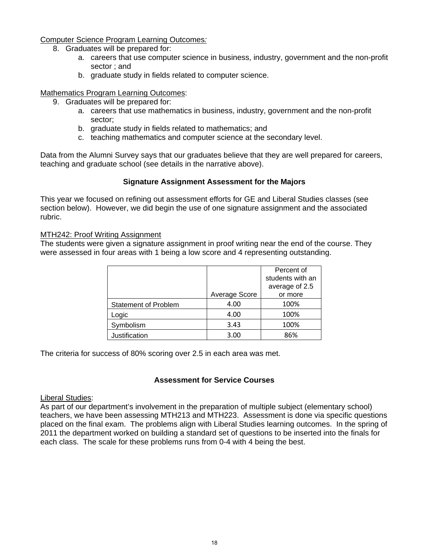#### Computer Science Program Learning Outcomes*:*

- 8. Graduates will be prepared for:
	- a. careers that use computer science in business, industry, government and the non-profit sector ; and
	- b. graduate study in fields related to computer science.

#### Mathematics Program Learning Outcomes:

- 9. Graduates will be prepared for:
	- a. careers that use mathematics in business, industry, government and the non-profit sector;
	- b. graduate study in fields related to mathematics; and
	- c. teaching mathematics and computer science at the secondary level.

Data from the Alumni Survey says that our graduates believe that they are well prepared for careers, teaching and graduate school (see details in the narrative above).

#### **Signature Assignment Assessment for the Majors**

This year we focused on refining out assessment efforts for GE and Liberal Studies classes (see section below). However, we did begin the use of one signature assignment and the associated rubric.

#### MTH242: Proof Writing Assignment

The students were given a signature assignment in proof writing near the end of the course. They were assessed in four areas with 1 being a low score and 4 representing outstanding.

|                             |               | Percent of       |
|-----------------------------|---------------|------------------|
|                             |               | students with an |
|                             |               | average of 2.5   |
|                             | Average Score | or more          |
| <b>Statement of Problem</b> | 4.00          | 100%             |
| Logic                       | 4.00          | 100%             |
| Symbolism                   | 3.43          | 100%             |
| Justification               | 3.00          | 86%              |

The criteria for success of 80% scoring over 2.5 in each area was met.

#### **Assessment for Service Courses**

#### Liberal Studies:

As part of our department's involvement in the preparation of multiple subject (elementary school) teachers, we have been assessing MTH213 and MTH223. Assessment is done via specific questions placed on the final exam. The problems align with Liberal Studies learning outcomes. In the spring of 2011 the department worked on building a standard set of questions to be inserted into the finals for each class. The scale for these problems runs from 0-4 with 4 being the best.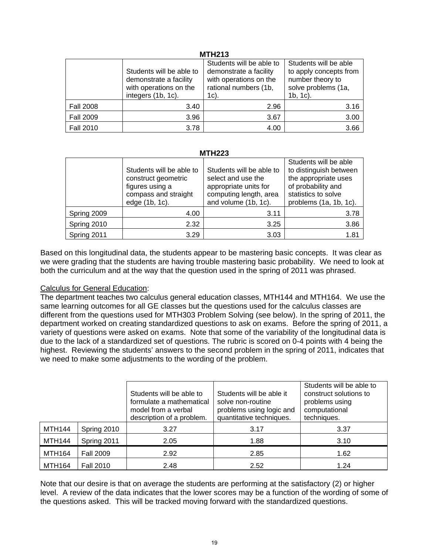#### **MTH213**

|                  |                          | Students will be able to | Students will be able  |  |  |  |  |  |  |  |
|------------------|--------------------------|--------------------------|------------------------|--|--|--|--|--|--|--|
|                  | Students will be able to | demonstrate a facility   | to apply concepts from |  |  |  |  |  |  |  |
|                  | demonstrate a facility   | with operations on the   | number theory to       |  |  |  |  |  |  |  |
|                  | with operations on the   | rational numbers (1b,    | solve problems (1a,    |  |  |  |  |  |  |  |
|                  | integers (1b, 1c).       | $1c$ ).                  | $1b, 1c$ ).            |  |  |  |  |  |  |  |
| <b>Fall 2008</b> | 3.40                     | 2.96                     | 3.16                   |  |  |  |  |  |  |  |
| <b>Fall 2009</b> | 3.96                     | 3.67                     | 3.00                   |  |  |  |  |  |  |  |
| <b>Fall 2010</b> | 3.78                     | 4.00                     | 3.66                   |  |  |  |  |  |  |  |

#### **MTH223**

|             | Students will be able to<br>construct geometric<br>figures using a<br>compass and straight<br>edge (1b, 1c). | Students will be able to<br>select and use the<br>appropriate units for<br>computing length, area<br>and volume (1b, 1c). | Students will be able<br>to distinguish between<br>the appropriate uses<br>of probability and<br>statistics to solve<br>problems (1a, 1b, 1c). |  |  |
|-------------|--------------------------------------------------------------------------------------------------------------|---------------------------------------------------------------------------------------------------------------------------|------------------------------------------------------------------------------------------------------------------------------------------------|--|--|
| Spring 2009 | 4.00                                                                                                         | 3.11                                                                                                                      | 3.78                                                                                                                                           |  |  |
| Spring 2010 | 2.32                                                                                                         | 3.25                                                                                                                      | 3.86                                                                                                                                           |  |  |
| Spring 2011 | 3.29                                                                                                         | 3.03                                                                                                                      | 1.81                                                                                                                                           |  |  |

Based on this longitudinal data, the students appear to be mastering basic concepts. It was clear as we were grading that the students are having trouble mastering basic probability. We need to look at both the curriculum and at the way that the question used in the spring of 2011 was phrased.

#### Calculus for General Education:

The department teaches two calculus general education classes, MTH144 and MTH164. We use the same learning outcomes for all GE classes but the questions used for the calculus classes are different from the questions used for MTH303 Problem Solving (see below). In the spring of 2011, the department worked on creating standardized questions to ask on exams. Before the spring of 2011, a variety of questions were asked on exams. Note that some of the variability of the longitudinal data is due to the lack of a standardized set of questions. The rubric is scored on 0-4 points with 4 being the highest. Reviewing the students' answers to the second problem in the spring of 2011, indicates that we need to make some adjustments to the wording of the problem.

|               |                  | Students will be able to<br>formulate a mathematical<br>model from a verbal<br>description of a problem. | Students will be able it<br>solve non-routine<br>problems using logic and<br>quantitative techniques. | Students will be able to<br>construct solutions to<br>problems using<br>computational<br>techniques. |  |  |
|---------------|------------------|----------------------------------------------------------------------------------------------------------|-------------------------------------------------------------------------------------------------------|------------------------------------------------------------------------------------------------------|--|--|
| <b>MTH144</b> | Spring 2010      | 3.27                                                                                                     | 3.17                                                                                                  | 3.37                                                                                                 |  |  |
| <b>MTH144</b> | Spring 2011      | 2.05                                                                                                     | 1.88                                                                                                  | 3.10                                                                                                 |  |  |
| <b>MTH164</b> | <b>Fall 2009</b> | 2.92                                                                                                     | 2.85                                                                                                  | 1.62                                                                                                 |  |  |
| <b>MTH164</b> | <b>Fall 2010</b> | 2.48                                                                                                     | 2.52                                                                                                  | 1.24                                                                                                 |  |  |

Note that our desire is that on average the students are performing at the satisfactory (2) or higher level. A review of the data indicates that the lower scores may be a function of the wording of some of the questions asked. This will be tracked moving forward with the standardized questions.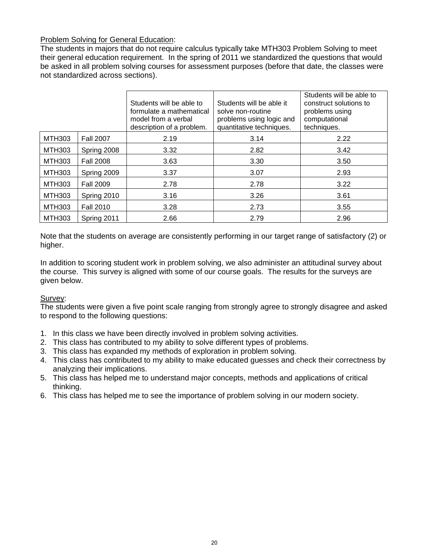## Problem Solving for General Education:

The students in majors that do not require calculus typically take MTH303 Problem Solving to meet their general education requirement. In the spring of 2011 we standardized the questions that would be asked in all problem solving courses for assessment purposes (before that date, the classes were not standardized across sections).

|               |                  | Students will be able to<br>formulate a mathematical<br>model from a verbal<br>description of a problem. | Students will be able it<br>solve non-routine<br>problems using logic and<br>quantitative techniques. | Students will be able to<br>construct solutions to<br>problems using<br>computational<br>techniques. |
|---------------|------------------|----------------------------------------------------------------------------------------------------------|-------------------------------------------------------------------------------------------------------|------------------------------------------------------------------------------------------------------|
| <b>MTH303</b> | <b>Fall 2007</b> | 2.19                                                                                                     | 3.14                                                                                                  | 2.22                                                                                                 |
| <b>MTH303</b> | Spring 2008      | 3.32                                                                                                     | 2.82                                                                                                  | 3.42                                                                                                 |
| <b>MTH303</b> | <b>Fall 2008</b> | 3.63                                                                                                     | 3.30                                                                                                  | 3.50                                                                                                 |
| <b>MTH303</b> | Spring 2009      | 3.37                                                                                                     | 3.07                                                                                                  | 2.93                                                                                                 |
| <b>MTH303</b> | <b>Fall 2009</b> | 2.78                                                                                                     | 2.78                                                                                                  | 3.22                                                                                                 |
| <b>MTH303</b> | Spring 2010      | 3.16                                                                                                     | 3.26                                                                                                  | 3.61                                                                                                 |
| <b>MTH303</b> | <b>Fall 2010</b> | 3.28                                                                                                     | 2.73                                                                                                  | 3.55                                                                                                 |
| <b>MTH303</b> | Spring 2011      | 2.66                                                                                                     | 2.79                                                                                                  | 2.96                                                                                                 |

Note that the students on average are consistently performing in our target range of satisfactory (2) or higher.

In addition to scoring student work in problem solving, we also administer an attitudinal survey about the course. This survey is aligned with some of our course goals. The results for the surveys are given below.

## Survey:

The students were given a five point scale ranging from strongly agree to strongly disagree and asked to respond to the following questions:

- 1. In this class we have been directly involved in problem solving activities.
- 2. This class has contributed to my ability to solve different types of problems.
- 3. This class has expanded my methods of exploration in problem solving.
- 4. This class has contributed to my ability to make educated guesses and check their correctness by analyzing their implications.
- 5. This class has helped me to understand major concepts, methods and applications of critical thinking.
- 6. This class has helped me to see the importance of problem solving in our modern society.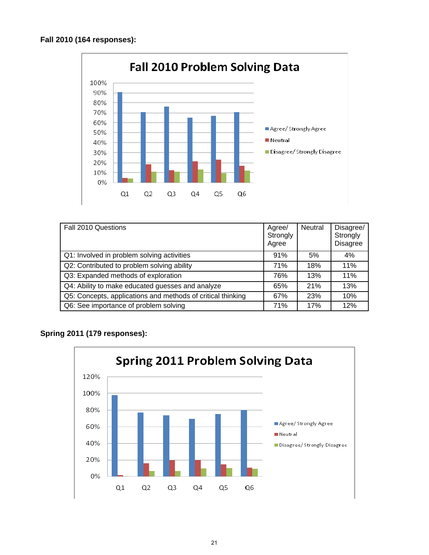

| Fall 2010 Questions                                         | Agree/<br>Strongly<br>Agree | <b>Neutral</b> | Disagree/<br>Strongly<br><b>Disagree</b> |
|-------------------------------------------------------------|-----------------------------|----------------|------------------------------------------|
| Q1: Involved in problem solving activities                  | 91%                         | 5%             | 4%                                       |
| Q2: Contributed to problem solving ability                  | 71%                         | 18%            | 11%                                      |
| Q3: Expanded methods of exploration                         | 76%                         | 13%            | 11%                                      |
| Q4: Ability to make educated guesses and analyze            | 65%                         | 21%            | 13%                                      |
| Q5: Concepts, applications and methods of critical thinking | 67%                         | 23%            | 10%                                      |
| Q6: See importance of problem solving                       | 71%                         | 17%            | 12%                                      |

## **Spring 2011 (179 responses):**

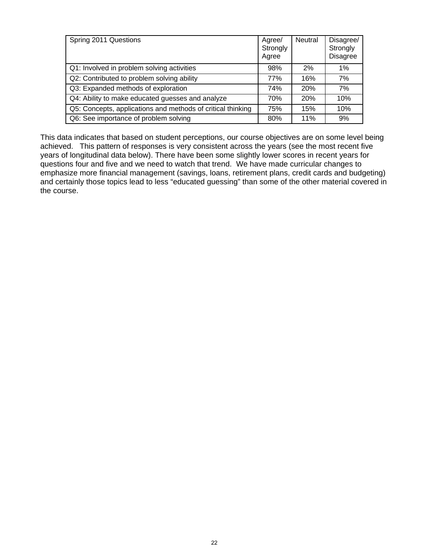| Spring 2011 Questions                                       | Agree/<br>Strongly<br>Agree | Neutral    | Disagree/<br>Strongly<br><b>Disagree</b> |
|-------------------------------------------------------------|-----------------------------|------------|------------------------------------------|
| Q1: Involved in problem solving activities                  | 98%                         | 2%         | 1%                                       |
| Q2: Contributed to problem solving ability                  | 77%                         | 16%        | 7%                                       |
| Q3: Expanded methods of exploration                         | 74%                         | 20%        | 7%                                       |
| Q4: Ability to make educated guesses and analyze            | 70%                         | <b>20%</b> | 10%                                      |
| Q5: Concepts, applications and methods of critical thinking | 75%                         | 15%        | 10%                                      |
| Q6: See importance of problem solving                       | 80%                         | 11%        | 9%                                       |

This data indicates that based on student perceptions, our course objectives are on some level being achieved. This pattern of responses is very consistent across the years (see the most recent five years of longitudinal data below). There have been some slightly lower scores in recent years for questions four and five and we need to watch that trend. We have made curricular changes to emphasize more financial management (savings, loans, retirement plans, credit cards and budgeting) and certainly those topics lead to less "educated guessing" than some of the other material covered in the course.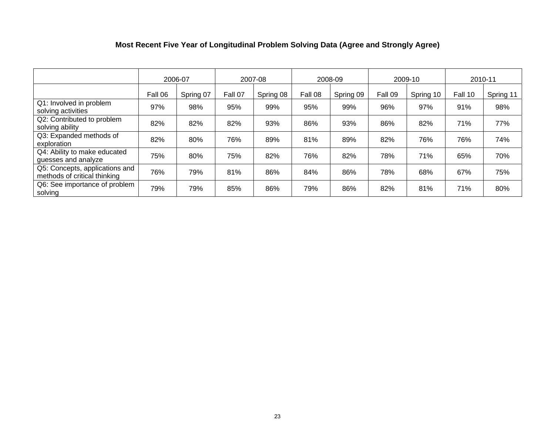## **Most Recent Five Year of Longitudinal Problem Solving Data (Agree and Strongly Agree)**

|                                                                |         | 2006-07   |         | 2007-08   |         | 2008-09   |         | 2009-10   | 2010-11 |           |  |
|----------------------------------------------------------------|---------|-----------|---------|-----------|---------|-----------|---------|-----------|---------|-----------|--|
|                                                                | Fall 06 | Spring 07 | Fall 07 | Spring 08 | Fall 08 | Spring 09 | Fall 09 | Spring 10 | Fall 10 | Spring 11 |  |
| Q1: Involved in problem<br>solving activities                  | 97%     | 98%       | 95%     | 99%       | 95%     | 99%       | 96%     | 97%       | 91%     | 98%       |  |
| Q2: Contributed to problem<br>solving ability                  | 82%     | 82%       | 82%     | 93%       | 86%     | 93%       | 86%     | 82%       | 71%     | 77%       |  |
| Q3: Expanded methods of<br>exploration                         | 82%     | 80%       | 76%     | 89%       | 81%     | 89%       | 82%     | 76%       | 76%     | 74%       |  |
| Q4: Ability to make educated<br>guesses and analyze            | 75%     | 80%       | 75%     | 82%       | 76%     | 82%       | 78%     | 71%       | 65%     | 70%       |  |
| Q5: Concepts, applications and<br>methods of critical thinking | 76%     | 79%       | 81%     | 86%       | 84%     | 86%       | 78%     | 68%       | 67%     | 75%       |  |
| Q6: See importance of problem<br>solving                       | 79%     | 79%       | 85%     | 86%       | 79%     | 86%       | 82%     | 81%       | 71%     | 80%       |  |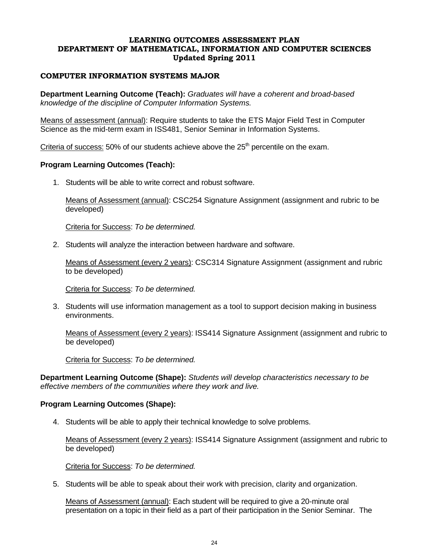#### **LEARNING OUTCOMES ASSESSMENT PLAN DEPARTMENT OF MATHEMATICAL, INFORMATION AND COMPUTER SCIENCES Updated Spring 2011**

#### **COMPUTER INFORMATION SYSTEMS MAJOR**

**Department Learning Outcome (Teach):** *Graduates will have a coherent and broad-based knowledge of the discipline of Computer Information Systems.* 

Means of assessment (annual): Require students to take the ETS Major Field Test in Computer Science as the mid-term exam in ISS481, Senior Seminar in Information Systems.

Criteria of success:  $50\%$  of our students achieve above the  $25<sup>th</sup>$  percentile on the exam.

#### **Program Learning Outcomes (Teach):**

1. Students will be able to write correct and robust software.

Means of Assessment (annual): CSC254 Signature Assignment (assignment and rubric to be developed)

Criteria for Success: *To be determined.* 

2. Students will analyze the interaction between hardware and software.

Means of Assessment (every 2 years): CSC314 Signature Assignment (assignment and rubric to be developed)

Criteria for Success: *To be determined.* 

3. Students will use information management as a tool to support decision making in business environments.

Means of Assessment (every 2 years): ISS414 Signature Assignment (assignment and rubric to be developed)

Criteria for Success: *To be determined.* 

**Department Learning Outcome (Shape):** *Students will develop characteristics necessary to be effective members of the communities where they work and live.* 

#### **Program Learning Outcomes (Shape):**

4. Students will be able to apply their technical knowledge to solve problems.

Means of Assessment (every 2 years): ISS414 Signature Assignment (assignment and rubric to be developed)

Criteria for Success: *To be determined.* 

5. Students will be able to speak about their work with precision, clarity and organization.

Means of Assessment (annual): Each student will be required to give a 20-minute oral presentation on a topic in their field as a part of their participation in the Senior Seminar. The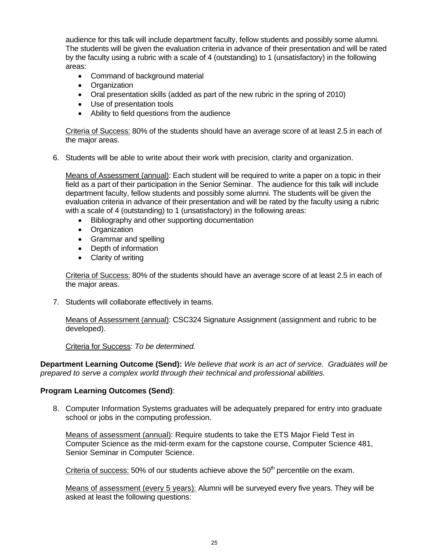audience for this talk will include department faculty, fellow students and possibly some alumni. The students will be given the evaluation criteria in advance of their presentation and will be rated by the faculty using a rubric with a scale of 4 (outstanding) to 1 (unsatisfactory) in the following areas:

- Command of background material
- Organization
- Oral presentation skills (added as part of the new rubric in the spring of 2010)
- Use of presentation tools
- Ability to field questions from the audience

Criteria of Success: 80% of the students should have an average score of at least 2.5 in each of the major areas.

6. Students will be able to write about their work with precision, clarity and organization.

Means of Assessment (annual): Each student will be required to write a paper on a topic in their field as a part of their participation in the Senior Seminar. The audience for this talk will include department faculty, fellow students and possibly some alumni. The students will be given the evaluation criteria in advance of their presentation and will be rated by the faculty using a rubric with a scale of 4 (outstanding) to 1 (unsatisfactory) in the following areas:

- Bibliography and other supporting documentation
- **•** Organization
- Grammar and spelling
- Depth of information
- Clarity of writing

Criteria of Success: 80% of the students should have an average score of at least 2.5 in each of the major areas.

7. Students will collaborate effectively in teams.

Means of Assessment (annual): CSC324 Signature Assignment (assignment and rubric to be developed).

Criteria for Success: *To be determined.* 

**Department Learning Outcome (Send):** *We believe that work is an act of service. Graduates will be prepared to serve a complex world through their technical and professional abilities.* 

#### **Program Learning Outcomes (Send)**:

8. Computer Information Systems graduates will be adequately prepared for entry into graduate school or jobs in the computing profession.

Means of assessment (annual): Require students to take the ETS Major Field Test in Computer Science as the mid-term exam for the capstone course, Computer Science 481, Senior Seminar in Computer Science.

Criteria of success:  $50\%$  of our students achieve above the  $50<sup>th</sup>$  percentile on the exam.

Means of assessment (every 5 years): Alumni will be surveyed every five years. They will be asked at least the following questions: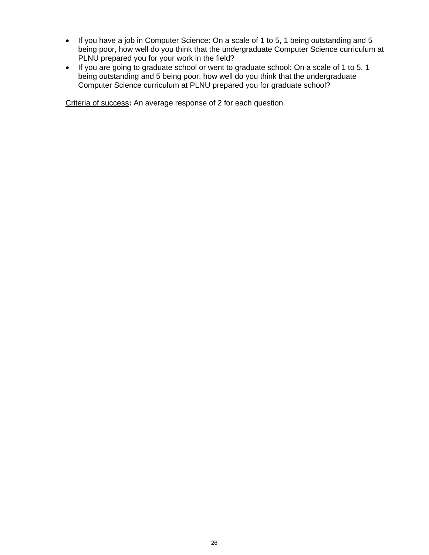- If you have a job in Computer Science: On a scale of 1 to 5, 1 being outstanding and 5 being poor, how well do you think that the undergraduate Computer Science curriculum at PLNU prepared you for your work in the field?
- If you are going to graduate school or went to graduate school: On a scale of 1 to 5, 1 being outstanding and 5 being poor, how well do you think that the undergraduate Computer Science curriculum at PLNU prepared you for graduate school?

Criteria of success**:** An average response of 2 for each question.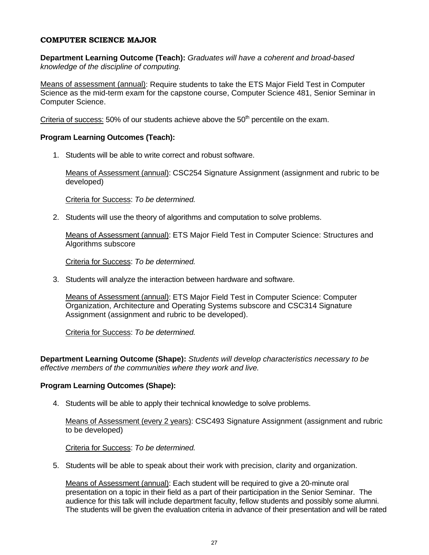#### **COMPUTER SCIENCE MAJOR**

**Department Learning Outcome (Teach):** *Graduates will have a coherent and broad-based knowledge of the discipline of computing.* 

Means of assessment (annual): Require students to take the ETS Major Field Test in Computer Science as the mid-term exam for the capstone course, Computer Science 481, Senior Seminar in Computer Science.

Criteria of success:  $50\%$  of our students achieve above the  $50<sup>th</sup>$  percentile on the exam.

#### **Program Learning Outcomes (Teach):**

1. Students will be able to write correct and robust software.

Means of Assessment (annual): CSC254 Signature Assignment (assignment and rubric to be developed)

Criteria for Success: *To be determined.* 

2. Students will use the theory of algorithms and computation to solve problems.

Means of Assessment (annual): ETS Major Field Test in Computer Science: Structures and Algorithms subscore

Criteria for Success: *To be determined.* 

3. Students will analyze the interaction between hardware and software.

Means of Assessment (annual): ETS Major Field Test in Computer Science: Computer Organization, Architecture and Operating Systems subscore and CSC314 Signature Assignment (assignment and rubric to be developed).

Criteria for Success: *To be determined.* 

**Department Learning Outcome (Shape):** *Students will develop characteristics necessary to be effective members of the communities where they work and live.* 

#### **Program Learning Outcomes (Shape):**

4. Students will be able to apply their technical knowledge to solve problems.

Means of Assessment (every 2 years): CSC493 Signature Assignment (assignment and rubric to be developed)

Criteria for Success: *To be determined.* 

5. Students will be able to speak about their work with precision, clarity and organization.

Means of Assessment (annual): Each student will be required to give a 20-minute oral presentation on a topic in their field as a part of their participation in the Senior Seminar. The audience for this talk will include department faculty, fellow students and possibly some alumni. The students will be given the evaluation criteria in advance of their presentation and will be rated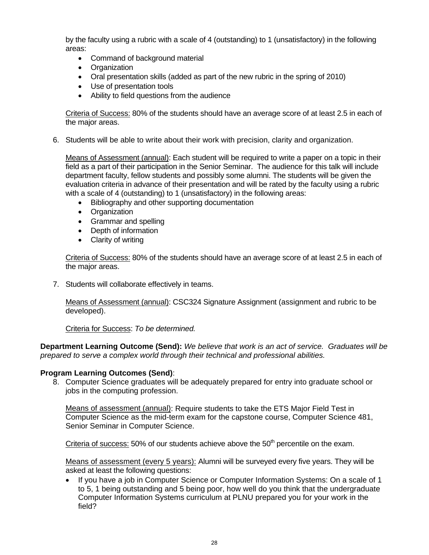by the faculty using a rubric with a scale of 4 (outstanding) to 1 (unsatisfactory) in the following areas:

- Command of background material
- Organization
- Oral presentation skills (added as part of the new rubric in the spring of 2010)
- Use of presentation tools
- Ability to field questions from the audience

Criteria of Success: 80% of the students should have an average score of at least 2.5 in each of the major areas.

6. Students will be able to write about their work with precision, clarity and organization.

Means of Assessment (annual): Each student will be required to write a paper on a topic in their field as a part of their participation in the Senior Seminar. The audience for this talk will include department faculty, fellow students and possibly some alumni. The students will be given the evaluation criteria in advance of their presentation and will be rated by the faculty using a rubric with a scale of 4 (outstanding) to 1 (unsatisfactory) in the following areas:

- Bibliography and other supporting documentation
- Organization
- Grammar and spelling
- Depth of information
- Clarity of writing

Criteria of Success: 80% of the students should have an average score of at least 2.5 in each of the major areas.

7. Students will collaborate effectively in teams.

Means of Assessment (annual): CSC324 Signature Assignment (assignment and rubric to be developed).

Criteria for Success: *To be determined.* 

**Department Learning Outcome (Send):** *We believe that work is an act of service. Graduates will be prepared to serve a complex world through their technical and professional abilities.* 

#### **Program Learning Outcomes (Send)**:

8. Computer Science graduates will be adequately prepared for entry into graduate school or jobs in the computing profession.

Means of assessment (annual): Require students to take the ETS Major Field Test in Computer Science as the mid-term exam for the capstone course, Computer Science 481, Senior Seminar in Computer Science.

Criteria of success:  $50\%$  of our students achieve above the  $50<sup>th</sup>$  percentile on the exam.

Means of assessment (every 5 years): Alumni will be surveyed every five years. They will be asked at least the following questions:

• If you have a job in Computer Science or Computer Information Systems: On a scale of 1 to 5, 1 being outstanding and 5 being poor, how well do you think that the undergraduate Computer Information Systems curriculum at PLNU prepared you for your work in the field?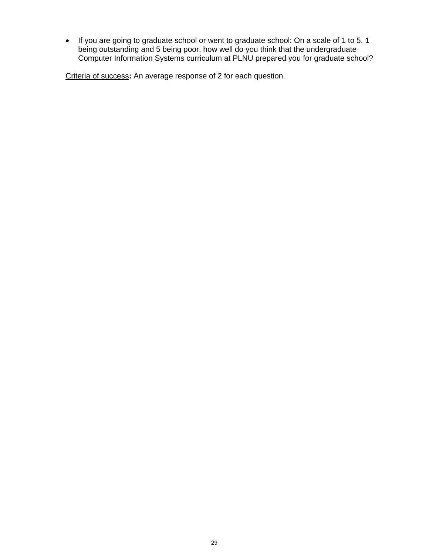• If you are going to graduate school or went to graduate school: On a scale of 1 to 5, 1 being outstanding and 5 being poor, how well do you think that the undergraduate Computer Information Systems curriculum at PLNU prepared you for graduate school?

Criteria of success**:** An average response of 2 for each question.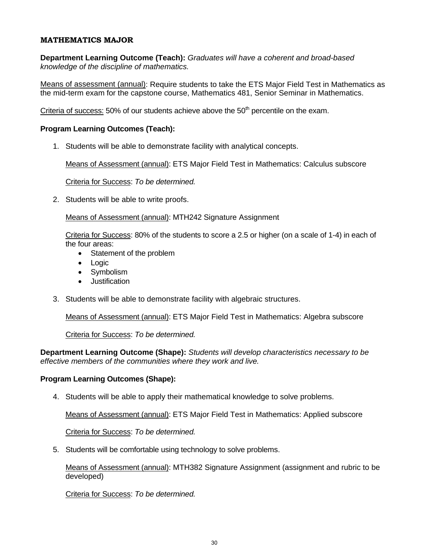#### **MATHEMATICS MAJOR**

**Department Learning Outcome (Teach):** *Graduates will have a coherent and broad-based knowledge of the discipline of mathematics.* 

Means of assessment (annual): Require students to take the ETS Major Field Test in Mathematics as the mid-term exam for the capstone course, Mathematics 481, Senior Seminar in Mathematics.

Criteria of success:  $50\%$  of our students achieve above the  $50<sup>th</sup>$  percentile on the exam.

#### **Program Learning Outcomes (Teach):**

1. Students will be able to demonstrate facility with analytical concepts.

Means of Assessment (annual): ETS Major Field Test in Mathematics: Calculus subscore

Criteria for Success: *To be determined.* 

2. Students will be able to write proofs.

Means of Assessment (annual): MTH242 Signature Assignment

Criteria for Success: 80% of the students to score a 2.5 or higher (on a scale of 1-4) in each of the four areas:

- Statement of the problem
- Logic
- Symbolism
- **•** Justification
- 3. Students will be able to demonstrate facility with algebraic structures.

Means of Assessment (annual): ETS Major Field Test in Mathematics: Algebra subscore

Criteria for Success: *To be determined.* 

**Department Learning Outcome (Shape):** *Students will develop characteristics necessary to be effective members of the communities where they work and live.* 

#### **Program Learning Outcomes (Shape):**

4. Students will be able to apply their mathematical knowledge to solve problems.

Means of Assessment (annual): ETS Major Field Test in Mathematics: Applied subscore

Criteria for Success: *To be determined.* 

5. Students will be comfortable using technology to solve problems.

Means of Assessment (annual): MTH382 Signature Assignment (assignment and rubric to be developed)

Criteria for Success: *To be determined.*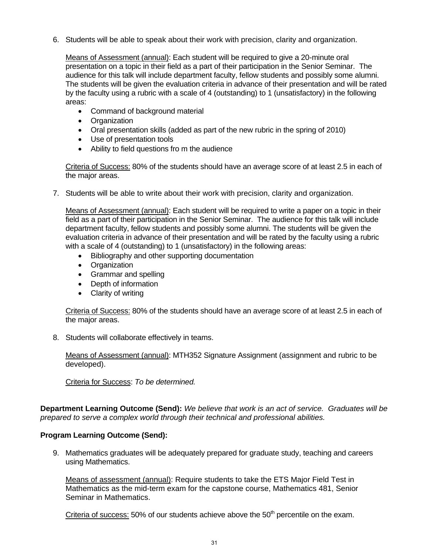6. Students will be able to speak about their work with precision, clarity and organization.

Means of Assessment (annual): Each student will be required to give a 20-minute oral presentation on a topic in their field as a part of their participation in the Senior Seminar. The audience for this talk will include department faculty, fellow students and possibly some alumni. The students will be given the evaluation criteria in advance of their presentation and will be rated by the faculty using a rubric with a scale of 4 (outstanding) to 1 (unsatisfactory) in the following areas:

- Command of background material
- Organization
- Oral presentation skills (added as part of the new rubric in the spring of 2010)
- Use of presentation tools
- Ability to field questions fro m the audience

Criteria of Success: 80% of the students should have an average score of at least 2.5 in each of the major areas.

7. Students will be able to write about their work with precision, clarity and organization.

Means of Assessment (annual): Each student will be required to write a paper on a topic in their field as a part of their participation in the Senior Seminar. The audience for this talk will include department faculty, fellow students and possibly some alumni. The students will be given the evaluation criteria in advance of their presentation and will be rated by the faculty using a rubric with a scale of 4 (outstanding) to 1 (unsatisfactory) in the following areas:

- Bibliography and other supporting documentation
- Organization
- Grammar and spelling
- Depth of information
- Clarity of writing

Criteria of Success: 80% of the students should have an average score of at least 2.5 in each of the major areas.

8. Students will collaborate effectively in teams.

Means of Assessment (annual): MTH352 Signature Assignment (assignment and rubric to be developed).

Criteria for Success: *To be determined.* 

**Department Learning Outcome (Send):** *We believe that work is an act of service. Graduates will be prepared to serve a complex world through their technical and professional abilities.* 

#### **Program Learning Outcome (Send):**

9. Mathematics graduates will be adequately prepared for graduate study, teaching and careers using Mathematics.

Means of assessment (annual): Require students to take the ETS Major Field Test in Mathematics as the mid-term exam for the capstone course, Mathematics 481, Senior Seminar in Mathematics.

Criteria of success:  $50\%$  of our students achieve above the  $50<sup>th</sup>$  percentile on the exam.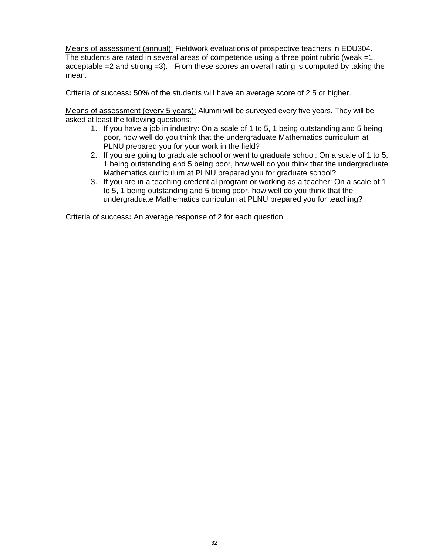Means of assessment (annual): Fieldwork evaluations of prospective teachers in EDU304. The students are rated in several areas of competence using a three point rubric (weak =1, acceptable  $=2$  and strong  $=3$ ). From these scores an overall rating is computed by taking the mean.

Criteria of success**:** 50% of the students will have an average score of 2.5 or higher.

Means of assessment (every 5 years): Alumni will be surveyed every five years. They will be asked at least the following questions:

- 1. If you have a job in industry: On a scale of 1 to 5, 1 being outstanding and 5 being poor, how well do you think that the undergraduate Mathematics curriculum at PLNU prepared you for your work in the field?
- 2. If you are going to graduate school or went to graduate school: On a scale of 1 to 5, 1 being outstanding and 5 being poor, how well do you think that the undergraduate Mathematics curriculum at PLNU prepared you for graduate school?
- 3. If you are in a teaching credential program or working as a teacher: On a scale of 1 to 5, 1 being outstanding and 5 being poor, how well do you think that the undergraduate Mathematics curriculum at PLNU prepared you for teaching?

Criteria of success**:** An average response of 2 for each question.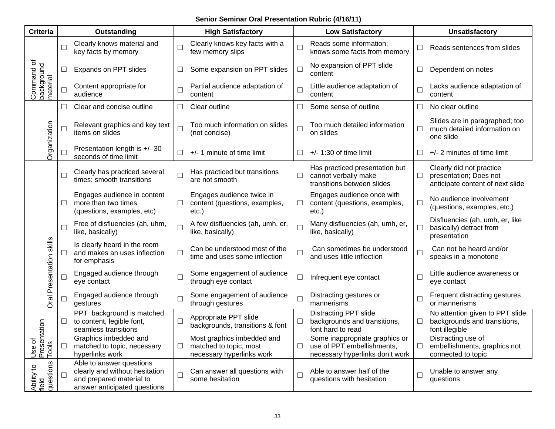## **Senior Seminar Oral Presentation Rubric (4/16/11)**

| <b>Criteria</b>                      |        | Outstanding                                                                                                            |        | <b>High Satisfactory</b>                                                          |                             | <b>Low Satisfactory</b>                                                                         | <b>Unsatisfactory</b>    |                                                                                        |
|--------------------------------------|--------|------------------------------------------------------------------------------------------------------------------------|--------|-----------------------------------------------------------------------------------|-----------------------------|-------------------------------------------------------------------------------------------------|--------------------------|----------------------------------------------------------------------------------------|
|                                      |        | Clearly knows material and<br>key facts by memory                                                                      | $\Box$ | Clearly knows key facts with a<br>few memory slips                                | L                           | Reads some information;<br>knows some facts from memory                                         | $\Box$                   | Reads sentences from slides                                                            |
|                                      | $\Box$ | Expands on PPT slides                                                                                                  | $\Box$ | Some expansion on PPT slides                                                      | $\Box$                      | No expansion of PPT slide<br>content                                                            | $\Box$                   | Dependent on notes                                                                     |
| Command of<br>background<br>material | $\Box$ | Content appropriate for<br>audience                                                                                    | $\Box$ | Partial audience adaptation of<br>content                                         | L                           | Little audience adaptation of<br>content                                                        | $\Box$                   | Lacks audience adaptation of<br>content                                                |
|                                      | $\Box$ | Clear and concise outline                                                                                              | $\Box$ | Clear outline                                                                     | L                           | Some sense of outline                                                                           | $\Box$                   | No clear outline                                                                       |
| Organization                         | $\Box$ | Relevant graphics and key text<br>items on slides                                                                      | $\Box$ | Too much information on slides<br>(not concise)                                   | $\Box$                      | Too much detailed information<br>on slides                                                      | $\Box$                   | Slides are in paragraphed; too<br>much detailed information on<br>one slide            |
|                                      |        | Presentation length is +/- 30<br>seconds of time limit                                                                 | $\Box$ | +/- 1 minute of time limit                                                        | Ш                           | $+/- 1:30$ of time limit                                                                        | $\Box$                   | +/- 2 minutes of time limit                                                            |
|                                      |        | Clearly has practiced several<br>times; smooth transitions                                                             | $\Box$ | Has practiced but transitions<br>are not smooth                                   | $\Box$                      | Has practiced presentation but<br>cannot verbally make<br>transitions between slides            | $\Box$                   | Clearly did not practice<br>presentation; Does not<br>anticipate content of next slide |
|                                      | $\Box$ | Engages audience in content<br>more than two times<br>(questions, examples, etc)                                       | $\Box$ | Engages audience twice in<br>content (questions, examples,<br>$etc.$ )            | $\mathcal{L}_{\mathcal{A}}$ | Engages audience once with<br>content (questions, examples,<br>$etc.$ )                         | $\Box$                   | No audience involvement<br>(questions, examples, etc.)                                 |
|                                      |        | Free of disfluencies (ah, uhm,<br>like, basically)                                                                     | $\Box$ | A few disfluencies (ah, umh, er,<br>like, basically)                              |                             | Many disfluencies (ah, umh, er,<br>like, basically)                                             | $\Box$                   | Disfluencies (ah, umh, er, like<br>basically) detract from<br>presentation             |
| Oral Presentation skills             |        | Is clearly heard in the room<br>and makes an uses inflection<br>for emphasis                                           | $\Box$ | Can be understood most of the<br>time and uses some inflection                    | $\Box$                      | Can sometimes be understood<br>and uses little inflection                                       | $\Box$                   | Can not be heard and/or<br>speaks in a monotone                                        |
|                                      |        | Engaged audience through<br>eye contact                                                                                |        | Some engagement of audience<br>through eye contact                                | $\mathcal{L}_{\mathcal{A}}$ | Infrequent eye contact                                                                          | П                        | Little audience awareness or<br>eye contact                                            |
|                                      |        | Engaged audience through<br>gestures                                                                                   | $\Box$ | Some engagement of audience<br>through gestures                                   | $\Box$                      | Distracting gestures or<br>mannerisms                                                           | $\Box$                   | Frequent distracting gestures<br>or mannerisms                                         |
|                                      | $\Box$ | PPT background is matched<br>to content, legible font,<br>seamless transitions                                         | $\Box$ | Appropriate PPT slide<br>backgrounds, transitions & font                          |                             | <b>Distracting PPT slide</b><br>backgrounds and transitions,<br>font hard to read               | $\Box$                   | No attention given to PPT slide<br>backgrounds and transitions,<br>font illegible      |
| Use of<br>Presentation<br>Tools      | $\Box$ | Graphics imbedded and<br>matched to topic, necessary<br>hyperlinks work                                                | $\Box$ | Most graphics imbedded and<br>matched to topic, most<br>necessary hyperlinks work | $\Box$                      | Some inappropriate graphics or<br>use of PPT embellishments,<br>necessary hyperlinks don't work | $\overline{\phantom{a}}$ | Distracting use of<br>embellishments, graphics not<br>connected to topic               |
| questions<br>Ability to<br>field     |        | Able to answer questions<br>clearly and without hesitation<br>and prepared material to<br>answer anticipated questions | $\Box$ | Can answer all questions with<br>some hesitation                                  | L                           | Able to answer half of the<br>questions with hesitation                                         | $\Box$                   | Unable to answer any<br>questions                                                      |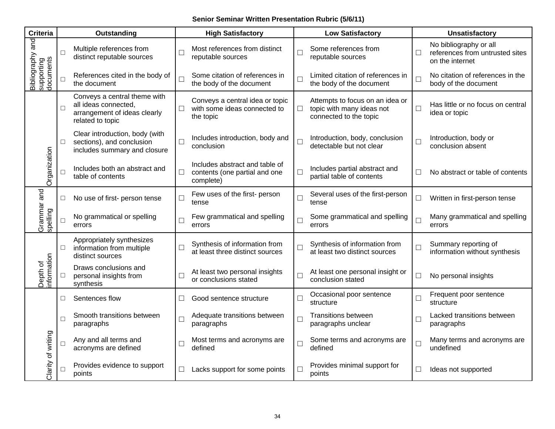## **Senior Seminar Written Presentation Rubric (5/6/11)**

| <b>Criteria</b>         |                                                                                | Outstanding                                                                                              |                                                                 | <b>High Satisfactory</b>                                                     |                                                            | <b>Low Satisfactory</b>                                                                |                                  | <b>Unsatisfactory</b>                                                        |  |  |
|-------------------------|--------------------------------------------------------------------------------|----------------------------------------------------------------------------------------------------------|-----------------------------------------------------------------|------------------------------------------------------------------------------|------------------------------------------------------------|----------------------------------------------------------------------------------------|----------------------------------|------------------------------------------------------------------------------|--|--|
| Bibliography and        | $\Box$                                                                         | Multiple references from<br>distinct reputable sources                                                   | $\overline{\phantom{a}}$                                        | Most references from distinct<br>reputable sources                           | $\Box$                                                     | Some references from<br>reputable sources                                              | $\Box$                           | No bibliography or all<br>references from untrusted sites<br>on the internet |  |  |
| supporting<br>documents | П                                                                              | References cited in the body of<br>the document                                                          | $\Box$                                                          | Some citation of references in<br>the body of the document                   | $\Box$                                                     | Limited citation of references in<br>the body of the document                          | $\Box$                           | No citation of references in the<br>body of the document                     |  |  |
|                         | $\Box$                                                                         | Conveys a central theme with<br>all ideas connected,<br>arrangement of ideas clearly<br>related to topic | $\Box$                                                          | Conveys a central idea or topic<br>with some ideas connected to<br>the topic | $\Box$                                                     | Attempts to focus on an idea or<br>topic with many ideas not<br>connected to the topic | $\Box$                           | Has little or no focus on central<br>idea or topic                           |  |  |
|                         | $\Box$                                                                         | Clear introduction, body (with<br>sections), and conclusion<br>includes summary and closure              | $\Box$                                                          | Includes introduction, body and<br>conclusion                                | $\Box$                                                     | Introduction, body, conclusion<br>detectable but not clear                             | $\Box$                           | Introduction, body or<br>conclusion absent                                   |  |  |
| Organization            | Includes both an abstract and<br>П<br>$\Box$<br>table of contents<br>complete) |                                                                                                          | Includes abstract and table of<br>contents (one partial and one | $\Box$                                                                       | Includes partial abstract and<br>partial table of contents | $\Box$                                                                                 | No abstract or table of contents |                                                                              |  |  |
|                         | □                                                                              | No use of first- person tense                                                                            | $\Box$                                                          | Few uses of the first- person<br>tense                                       | $\Box$                                                     | Several uses of the first-person<br>tense                                              | $\Box$                           | Written in first-person tense                                                |  |  |
| Grammar and<br>spelling | П                                                                              | No grammatical or spelling<br>errors                                                                     | Few grammatical and spelling<br>$\Box$<br>errors                |                                                                              | $\Box$                                                     | Some grammatical and spelling<br>errors                                                | $\Box$                           | Many grammatical and spelling<br>errors                                      |  |  |
|                         | $\Box$                                                                         | Appropriately synthesizes<br>information from multiple<br>□<br>distinct sources                          |                                                                 | Synthesis of information from<br>at least three distinct sources             | $\Box$                                                     | Synthesis of information from<br>at least two distinct sources                         | $\Box$                           | Summary reporting of<br>information without synthesis                        |  |  |
| nformation<br>Depth of  | ⊔                                                                              | Draws conclusions and<br>personal insights from<br>synthesis                                             | $\Box$                                                          | At least two personal insights<br>or conclusions stated                      | $\Box$                                                     | At least one personal insight or<br>conclusion stated                                  | $\Box$                           | No personal insights                                                         |  |  |
|                         | □                                                                              | Sentences flow                                                                                           | $\Box$                                                          | Good sentence structure                                                      | $\Box$                                                     | Occasional poor sentence<br>structure                                                  | $\Box$                           | Frequent poor sentence<br>structure                                          |  |  |
|                         | $\Box$                                                                         | Smooth transitions between<br>paragraphs                                                                 | $\Box$                                                          | Adequate transitions between<br>paragraphs                                   | $\Box$                                                     | <b>Transitions between</b><br>paragraphs unclear                                       | $\Box$                           | Lacked transitions between<br>paragraphs                                     |  |  |
| Clarity of writing      | $\Box$                                                                         | Any and all terms and<br>acronyms are defined                                                            | $\Box$                                                          | Most terms and acronyms are<br>defined                                       | $\Box$                                                     | Some terms and acronyms are<br>defined                                                 | $\Box$                           | Many terms and acronyms are<br>undefined                                     |  |  |
|                         | П                                                                              | Provides evidence to support<br>points                                                                   | $\Box$                                                          | Lacks support for some points                                                | $\Box$                                                     | Provides minimal support for<br>points                                                 | $\Box$                           | Ideas not supported                                                          |  |  |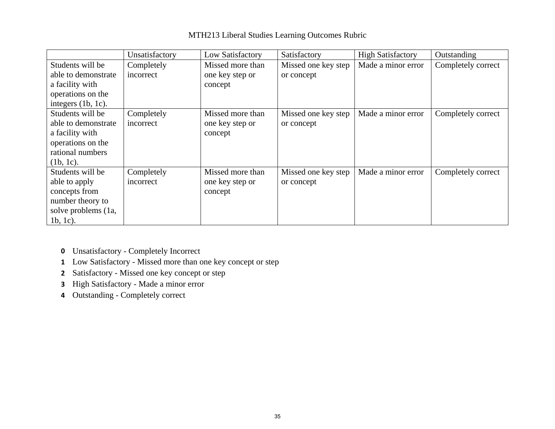|                       | Unsatisfactory | Low Satisfactory | Satisfactory        | <b>High Satisfactory</b> | Outstanding        |
|-----------------------|----------------|------------------|---------------------|--------------------------|--------------------|
| Students will be      | Completely     | Missed more than | Missed one key step | Made a minor error       | Completely correct |
| able to demonstrate   | incorrect      | one key step or  | or concept          |                          |                    |
| a facility with       |                | concept          |                     |                          |                    |
| operations on the     |                |                  |                     |                          |                    |
| integers $(1b, 1c)$ . |                |                  |                     |                          |                    |
| Students will be      | Completely     | Missed more than | Missed one key step | Made a minor error       | Completely correct |
| able to demonstrate   | incorrect      | one key step or  | or concept          |                          |                    |
| a facility with       |                | concept          |                     |                          |                    |
| operations on the     |                |                  |                     |                          |                    |
| rational numbers      |                |                  |                     |                          |                    |
| $(1b, 1c)$ .          |                |                  |                     |                          |                    |
| Students will be      | Completely     | Missed more than | Missed one key step | Made a minor error       | Completely correct |
| able to apply         | incorrect      | one key step or  | or concept          |                          |                    |
| concepts from         |                | concept          |                     |                          |                    |
| number theory to      |                |                  |                     |                          |                    |
| solve problems (1a,   |                |                  |                     |                          |                    |
| $1b, 1c)$ .           |                |                  |                     |                          |                    |

## MTH213 Liberal Studies Learning Outcomes Rubric

- **0** Unsatisfactory Completely Incorrect
- **1** Low Satisfactory Missed more than one key concept or step
- **2** Satisfactory Missed one key concept or step
- **3** High Satisfactory Made a minor error
- **4** Outstanding Completely correct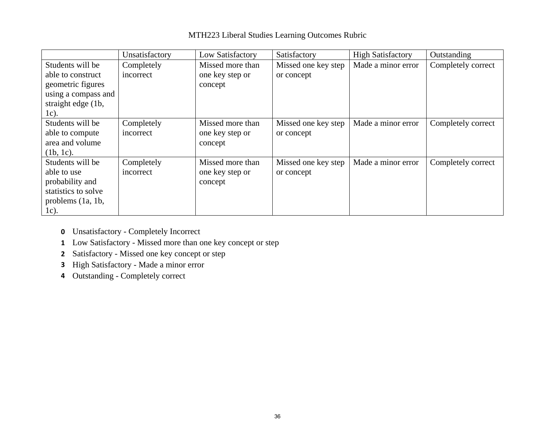|                     | Unsatisfactory | Low Satisfactory | Satisfactory        | <b>High Satisfactory</b> | Outstanding        |
|---------------------|----------------|------------------|---------------------|--------------------------|--------------------|
| Students will be    | Completely     | Missed more than | Missed one key step | Made a minor error       | Completely correct |
| able to construct   | incorrect      | one key step or  | or concept          |                          |                    |
| geometric figures   |                | concept          |                     |                          |                    |
| using a compass and |                |                  |                     |                          |                    |
| straight edge (1b,  |                |                  |                     |                          |                    |
| 1c).                |                |                  |                     |                          |                    |
| Students will be    | Completely     | Missed more than | Missed one key step | Made a minor error       | Completely correct |
| able to compute     | incorrect      | one key step or  | or concept          |                          |                    |
| area and volume     |                | concept          |                     |                          |                    |
| (1b, 1c).           |                |                  |                     |                          |                    |
| Students will be    | Completely     | Missed more than | Missed one key step | Made a minor error       | Completely correct |
| able to use         | incorrect      | one key step or  | or concept          |                          |                    |
| probability and     |                | concept          |                     |                          |                    |
| statistics to solve |                |                  |                     |                          |                    |
| problems $(1a, 1b,$ |                |                  |                     |                          |                    |
| $1c$ ).             |                |                  |                     |                          |                    |

## MTH223 Liberal Studies Learning Outcomes Rubric

- **0** Unsatisfactory Completely Incorrect
- **1** Low Satisfactory Missed more than one key concept or step
- **2** Satisfactory Missed one key concept or step
- **3** High Satisfactory Made a minor error
- **4** Outstanding Completely correct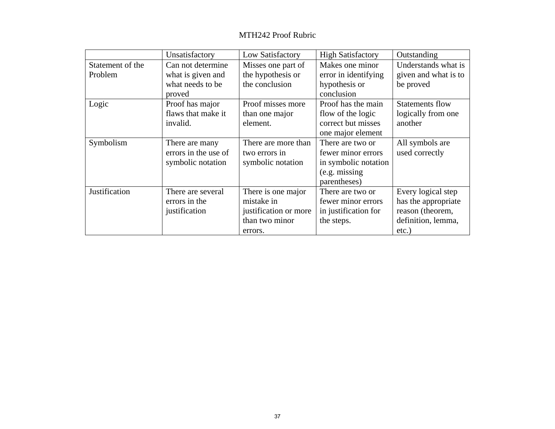#### MTH242 Proof Rubric

|                  | Unsatisfactory       | Low Satisfactory      | <b>High Satisfactory</b> | Outstanding          |  |
|------------------|----------------------|-----------------------|--------------------------|----------------------|--|
| Statement of the | Can not determine    | Misses one part of    | Makes one minor          | Understands what is  |  |
| Problem          | what is given and    | the hypothesis or     | error in identifying     | given and what is to |  |
|                  | what needs to be     | the conclusion        | hypothesis or            | be proved            |  |
|                  | proved               |                       | conclusion               |                      |  |
| Logic            | Proof has major      | Proof misses more     | Proof has the main       | Statements flow      |  |
|                  | flaws that make it   | than one major        | flow of the logic        | logically from one   |  |
|                  | invalid.             | element.              | correct but misses       | another              |  |
|                  |                      |                       | one major element        |                      |  |
| Symbolism        | There are many       | There are more than   | There are two or         | All symbols are      |  |
|                  | errors in the use of | two errors in         | fewer minor errors       | used correctly       |  |
|                  | symbolic notation    | symbolic notation     | in symbolic notation     |                      |  |
|                  |                      |                       | (e.g. missing)           |                      |  |
|                  |                      |                       | parentheses)             |                      |  |
| Justification    | There are several    | There is one major    | There are two or         | Every logical step   |  |
|                  | errors in the        | mistake in            | fewer minor errors       | has the appropriate  |  |
|                  | justification        | justification or more | in justification for     | reason (theorem,     |  |
|                  |                      | than two minor        | the steps.               | definition, lemma,   |  |
|                  |                      | errors.               |                          | $etc.$ )             |  |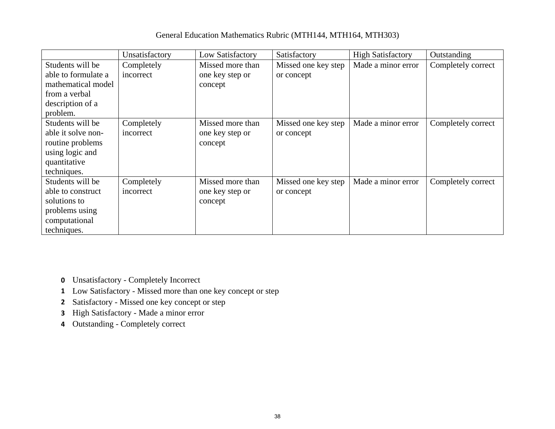## General Education Mathematics Rubric (MTH144, MTH164, MTH303)

|                     | Unsatisfactory | Low Satisfactory | Satisfactory        | <b>High Satisfactory</b> | Outstanding        |
|---------------------|----------------|------------------|---------------------|--------------------------|--------------------|
| Students will be    | Completely     | Missed more than | Missed one key step | Made a minor error       | Completely correct |
| able to formulate a | incorrect      | one key step or  | or concept          |                          |                    |
| mathematical model  |                | concept          |                     |                          |                    |
| from a verbal       |                |                  |                     |                          |                    |
| description of a    |                |                  |                     |                          |                    |
| problem.            |                |                  |                     |                          |                    |
| Students will be    | Completely     | Missed more than | Missed one key step | Made a minor error       | Completely correct |
| able it solve non-  | incorrect      | one key step or  | or concept          |                          |                    |
| routine problems    |                | concept          |                     |                          |                    |
| using logic and     |                |                  |                     |                          |                    |
| quantitative        |                |                  |                     |                          |                    |
| techniques.         |                |                  |                     |                          |                    |
| Students will be    | Completely     | Missed more than | Missed one key step | Made a minor error       | Completely correct |
| able to construct   | incorrect      | one key step or  | or concept          |                          |                    |
| solutions to        |                | concept          |                     |                          |                    |
| problems using      |                |                  |                     |                          |                    |
| computational       |                |                  |                     |                          |                    |
| techniques.         |                |                  |                     |                          |                    |

**0** Unsatisfactory - Completely Incorrect

- **1** Low Satisfactory Missed more than one key concept or step
- **2** Satisfactory Missed one key concept or step
- **3** High Satisfactory Made a minor error
- **4** Outstanding Completely correct